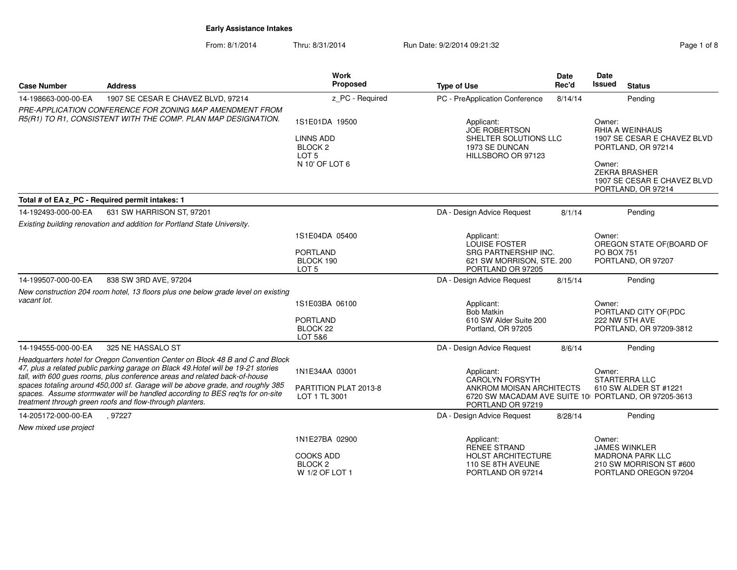From: 8/1/2014Thru: 8/31/2014 Run Date: 9/2/2014 09:21:32 Page 1 of 8

| Page 1 of 8 |  |  |
|-------------|--|--|
|             |  |  |

| <b>Case Number</b>    | <b>Address</b>                                                                                                                                                                                                                                                                                                                                                                                                                                                                  | <b>Work</b><br>Proposed                                                                        | <b>Type of Use</b>                                                                                                                            | <b>Date</b><br>Rec'd | Date<br>Issued       | <b>Status</b>                                                                                                                                            |
|-----------------------|---------------------------------------------------------------------------------------------------------------------------------------------------------------------------------------------------------------------------------------------------------------------------------------------------------------------------------------------------------------------------------------------------------------------------------------------------------------------------------|------------------------------------------------------------------------------------------------|-----------------------------------------------------------------------------------------------------------------------------------------------|----------------------|----------------------|----------------------------------------------------------------------------------------------------------------------------------------------------------|
| 14-198663-000-00-EA   | 1907 SE CESAR E CHAVEZ BLVD, 97214                                                                                                                                                                                                                                                                                                                                                                                                                                              | z PC - Required                                                                                | PC - PreApplication Conference                                                                                                                | 8/14/14              |                      | Pending                                                                                                                                                  |
|                       | PRE-APPLICATION CONFERENCE FOR ZONING MAP AMENDMENT FROM<br>R5(R1) TO R1, CONSISTENT WITH THE COMP. PLAN MAP DESIGNATION.                                                                                                                                                                                                                                                                                                                                                       | 1S1E01DA 19500<br><b>LINNS ADD</b><br>BLOCK <sub>2</sub><br>LOT <sub>5</sub><br>N 10' OF LOT 6 | Applicant:<br><b>JOE ROBERTSON</b><br>SHELTER SOLUTIONS LLC<br>1973 SE DUNCAN<br>HILLSBORO OR 97123                                           |                      | Owner:<br>Owner:     | <b>RHIA A WEINHAUS</b><br>1907 SE CESAR E CHAVEZ BLVD<br>PORTLAND, OR 97214<br><b>ZEKRA BRASHER</b><br>1907 SE CESAR E CHAVEZ BLVD<br>PORTLAND, OR 97214 |
|                       | Total # of EA z_PC - Required permit intakes: 1                                                                                                                                                                                                                                                                                                                                                                                                                                 |                                                                                                |                                                                                                                                               |                      |                      |                                                                                                                                                          |
| 14-192493-000-00-EA   | 631 SW HARRISON ST, 97201                                                                                                                                                                                                                                                                                                                                                                                                                                                       |                                                                                                | DA - Design Advice Request                                                                                                                    | 8/1/14               |                      | Pending                                                                                                                                                  |
|                       | Existing building renovation and addition for Portland State University.                                                                                                                                                                                                                                                                                                                                                                                                        | 1S1E04DA 05400<br><b>PORTLAND</b><br>BLOCK 190<br>LOT <sub>5</sub>                             | Applicant:<br>LOUISE FOSTER<br><b>SRG PARTNERSHIP INC.</b><br>621 SW MORRISON, STE. 200<br>PORTLAND OR 97205                                  |                      | Owner:<br>PO BOX 751 | OREGON STATE OF(BOARD OF<br>PORTLAND, OR 97207                                                                                                           |
| 14-199507-000-00-EA   | 838 SW 3RD AVE, 97204                                                                                                                                                                                                                                                                                                                                                                                                                                                           |                                                                                                | DA - Design Advice Request                                                                                                                    | 8/15/14              |                      | Pendina                                                                                                                                                  |
| vacant lot.           | New construction 204 room hotel, 13 floors plus one below grade level on existing                                                                                                                                                                                                                                                                                                                                                                                               | 1S1E03BA 06100<br><b>PORTLAND</b><br>BLOCK <sub>22</sub><br>LOT 5&6                            | Applicant:<br>Bob Matkin<br>610 SW Alder Suite 200<br>Portland, OR 97205                                                                      |                      | Owner:               | PORTLAND CITY OF (PDC<br>222 NW 5TH AVE<br>PORTLAND, OR 97209-3812                                                                                       |
| 14-194555-000-00-EA   | 325 NE HASSALO ST                                                                                                                                                                                                                                                                                                                                                                                                                                                               |                                                                                                | DA - Design Advice Request                                                                                                                    | 8/6/14               |                      | Pending                                                                                                                                                  |
|                       | Headquarters hotel for Oregon Convention Center on Block 48 B and C and Block<br>47, plus a related public parking garage on Black 49. Hotel will be 19-21 stories<br>tall, with 600 gues rooms, plus conference areas and related back-of-house<br>spaces totaling around 450,000 sf. Garage will be above grade, and roughly 385<br>spaces. Assume stormwater will be handled according to BES req'ts for on-site<br>treatment through green roofs and flow-through planters. | 1N1E34AA 03001<br>PARTITION PLAT 2013-8<br>LOT 1 TL 3001                                       | Applicant:<br><b>CAROLYN FORSYTH</b><br>ANKROM MOISAN ARCHITECTS<br>6720 SW MACADAM AVE SUITE 10 PORTLAND, OR 97205-3613<br>PORTLAND OR 97219 |                      | Owner:               | <b>STARTERRA LLC</b><br>610 SW ALDER ST #1221                                                                                                            |
| 14-205172-000-00-EA   | .97227                                                                                                                                                                                                                                                                                                                                                                                                                                                                          |                                                                                                | DA - Design Advice Request                                                                                                                    | 8/28/14              |                      | Pending                                                                                                                                                  |
| New mixed use project |                                                                                                                                                                                                                                                                                                                                                                                                                                                                                 |                                                                                                |                                                                                                                                               |                      |                      |                                                                                                                                                          |
|                       |                                                                                                                                                                                                                                                                                                                                                                                                                                                                                 | 1N1E27BA 02900<br>COOKS ADD<br>BLOCK <sub>2</sub><br>W 1/2 OF LOT 1                            | Applicant:<br><b>RENEE STRAND</b><br><b>HOLST ARCHITECTURE</b><br>110 SE 8TH AVEUNE<br>PORTLAND OR 97214                                      |                      | Owner:               | <b>JAMES WINKLER</b><br><b>MADRONA PARK LLC</b><br>210 SW MORRISON ST #600<br>PORTLAND OREGON 97204                                                      |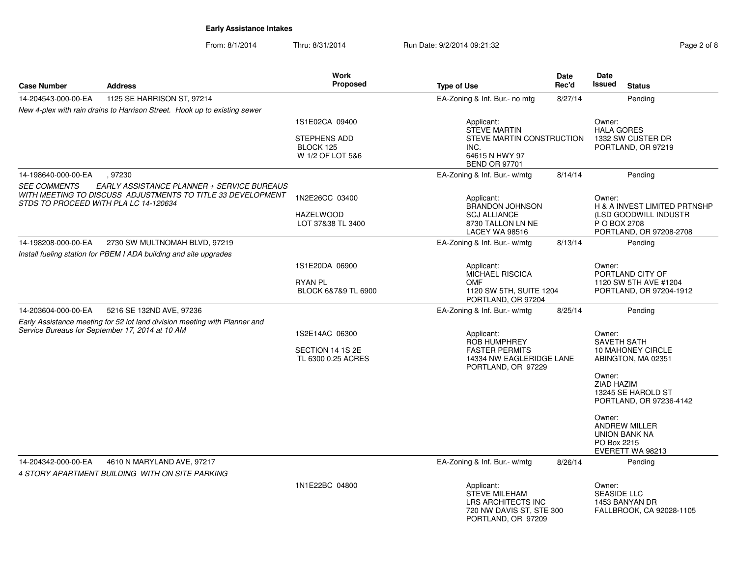From: 8/1/2014Thru: 8/31/2014 Run Date: 9/2/2014 09:21:32

| Page 2 of 8 |  |  |
|-------------|--|--|
|             |  |  |
|             |  |  |

|                     |                                                                                                                                                    | <b>Work</b>                                                            |                                                                                                                  | Date    | Date                                                                          |                                                                                                                                                                     |
|---------------------|----------------------------------------------------------------------------------------------------------------------------------------------------|------------------------------------------------------------------------|------------------------------------------------------------------------------------------------------------------|---------|-------------------------------------------------------------------------------|---------------------------------------------------------------------------------------------------------------------------------------------------------------------|
| <b>Case Number</b>  | <b>Address</b>                                                                                                                                     | Proposed                                                               | <b>Type of Use</b>                                                                                               | Rec'd   | <b>Issued</b>                                                                 | <b>Status</b>                                                                                                                                                       |
| 14-204543-000-00-EA | 1125 SE HARRISON ST, 97214                                                                                                                         |                                                                        | EA-Zoning & Inf. Bur.- no mtg                                                                                    | 8/27/14 |                                                                               | Pending                                                                                                                                                             |
|                     | New 4-plex with rain drains to Harrison Street. Hook up to existing sewer                                                                          |                                                                        |                                                                                                                  |         |                                                                               |                                                                                                                                                                     |
|                     |                                                                                                                                                    | 1S1E02CA 09400<br><b>STEPHENS ADD</b><br>BLOCK 125<br>W 1/2 OF LOT 5&6 | Applicant:<br><b>STEVE MARTIN</b><br>STEVE MARTIN CONSTRUCTION<br>INC.<br>64615 N HWY 97<br><b>BEND OR 97701</b> |         | Owner:<br><b>HALA GORES</b>                                                   | 1332 SW CUSTER DR<br>PORTLAND, OR 97219                                                                                                                             |
| 14-198640-000-00-EA | , 97230                                                                                                                                            |                                                                        | EA-Zoning & Inf. Bur.- w/mtg                                                                                     | 8/14/14 |                                                                               | Pending                                                                                                                                                             |
| <b>SEE COMMENTS</b> | EARLY ASSISTANCE PLANNER + SERVICE BUREAUS<br>WITH MEETING TO DISCUSS ADJUSTMENTS TO TITLE 33 DEVELOPMENT<br>STDS TO PROCEED WITH PLA LC 14-120634 | 1N2E26CC 03400<br><b>HAZELWOOD</b><br>LOT 37&38 TL 3400                | Applicant:<br><b>BRANDON JOHNSON</b><br><b>SCJ ALLIANCE</b><br>8730 TALLON LN NE<br><b>LACEY WA 98516</b>        |         | Owner:<br>P O BOX 2708                                                        | H & A INVEST LIMITED PRTNSHP<br>(LSD GOODWILL INDUSTR<br>PORTLAND, OR 97208-2708                                                                                    |
| 14-198208-000-00-EA | 2730 SW MULTNOMAH BLVD, 97219                                                                                                                      |                                                                        | EA-Zoning & Inf. Bur.- w/mtg                                                                                     | 8/13/14 |                                                                               | Pending                                                                                                                                                             |
|                     | Install fueling station for PBEM I ADA building and site upgrades                                                                                  |                                                                        |                                                                                                                  |         |                                                                               |                                                                                                                                                                     |
|                     |                                                                                                                                                    | 1S1E20DA 06900<br><b>RYAN PL</b><br>BLOCK 6&7&9 TL 6900                | Applicant:<br><b>MICHAEL RISCICA</b><br><b>OMF</b><br>1120 SW 5TH, SUITE 1204<br>PORTLAND, OR 97204              |         | Owner:                                                                        | PORTLAND CITY OF<br>1120 SW 5TH AVE #1204<br>PORTLAND, OR 97204-1912                                                                                                |
| 14-203604-000-00-EA | 5216 SE 132ND AVE, 97236                                                                                                                           |                                                                        | EA-Zoning & Inf. Bur.- w/mtg                                                                                     | 8/25/14 |                                                                               | Pending                                                                                                                                                             |
|                     | Early Assistance meeting for 52 lot land division meeting with Planner and<br>Service Bureaus for September 17, 2014 at 10 AM                      | 1S2E14AC 06300<br>SECTION 14 1S 2E<br>TL 6300 0.25 ACRES               | Applicant:<br><b>ROB HUMPHREY</b><br><b>FASTER PERMITS</b><br>14334 NW EAGLERIDGE LANE<br>PORTLAND, OR 97229     |         | Owner:<br><b>SAVETH SATH</b><br>Owner:<br>ZIAD HAZIM<br>Owner:<br>PO Box 2215 | <b>10 MAHONEY CIRCLE</b><br>ABINGTON, MA 02351<br>13245 SE HAROLD ST<br>PORTLAND, OR 97236-4142<br><b>ANDREW MILLER</b><br><b>UNION BANK NA</b><br>EVERETT WA 98213 |
| 14-204342-000-00-EA | 4610 N MARYLAND AVE, 97217<br>4 STORY APARTMENT BUILDING WITH ON SITE PARKING                                                                      |                                                                        | EA-Zoning & Inf. Bur.- w/mtg                                                                                     | 8/26/14 |                                                                               | Pending                                                                                                                                                             |
|                     |                                                                                                                                                    | 1N1E22BC 04800                                                         | Applicant:<br><b>STEVE MILEHAM</b><br>LRS ARCHITECTS INC<br>720 NW DAVIS ST, STE 300<br>PORTLAND, OR 97209       |         | Owner:<br><b>SEASIDE LLC</b>                                                  | 1453 BANYAN DR<br>FALLBROOK, CA 92028-1105                                                                                                                          |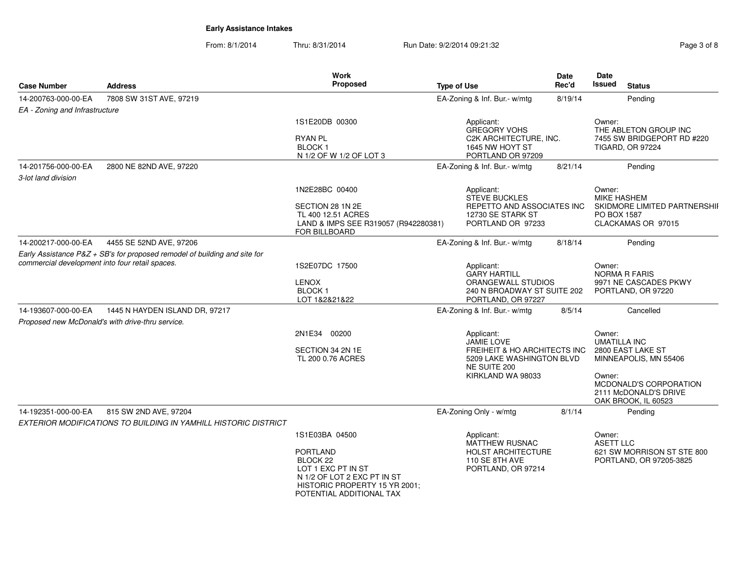From: 8/1/2014Thru: 8/31/2014 Run Date: 9/2/2014 09:21:32 Rage 3 of 8

| <b>Case Number</b>                              | <b>Address</b>                                                              | <b>Work</b><br>Proposed                                                                                                                                  | <b>Type of Use</b>                                                                                                         | Date<br>Rec'd | Date<br><b>Issued</b><br><b>Status</b>                                                                                                                          |
|-------------------------------------------------|-----------------------------------------------------------------------------|----------------------------------------------------------------------------------------------------------------------------------------------------------|----------------------------------------------------------------------------------------------------------------------------|---------------|-----------------------------------------------------------------------------------------------------------------------------------------------------------------|
|                                                 |                                                                             |                                                                                                                                                          |                                                                                                                            |               |                                                                                                                                                                 |
| 14-200763-000-00-EA                             | 7808 SW 31ST AVE, 97219                                                     |                                                                                                                                                          | EA-Zoning & Inf. Bur.- w/mtg                                                                                               | 8/19/14       | Pending                                                                                                                                                         |
| EA - Zoning and Infrastructure                  |                                                                             | 1S1E20DB 00300<br>RYAN PL<br><b>BLOCK1</b><br>N 1/2 OF W 1/2 OF LOT 3                                                                                    | Applicant:<br><b>GREGORY VOHS</b><br>C2K ARCHITECTURE, INC.<br>1645 NW HOYT ST<br>PORTLAND OR 97209                        |               | Owner:<br>THE ABLETON GROUP INC<br>7455 SW BRIDGEPORT RD #220<br><b>TIGARD, OR 97224</b>                                                                        |
| 14-201756-000-00-EA                             | 2800 NE 82ND AVE, 97220                                                     |                                                                                                                                                          | EA-Zoning & Inf. Bur.- w/mtg                                                                                               | 8/21/14       | Pending                                                                                                                                                         |
| 3-lot land division                             |                                                                             |                                                                                                                                                          |                                                                                                                            |               |                                                                                                                                                                 |
|                                                 |                                                                             | 1N2E28BC 00400<br>SECTION 28 1N 2E<br>TL 400 12.51 ACRES<br>LAND & IMPS SEE R319057 (R942280381)<br>FOR BILLBOARD                                        | Applicant:<br><b>STEVE BUCKLES</b><br>REPETTO AND ASSOCIATES INC<br>12730 SE STARK ST<br>PORTLAND OR 97233                 |               | Owner:<br><b>MIKE HASHEM</b><br>SKIDMORE LIMITED PARTNERSHII<br>PO BOX 1587<br>CLACKAMAS OR 97015                                                               |
| 14-200217-000-00-EA                             | 4455 SE 52ND AVE, 97206                                                     |                                                                                                                                                          | EA-Zoning & Inf. Bur.- w/mtg                                                                                               | 8/18/14       | Pending                                                                                                                                                         |
| commercial development into four retail spaces. | Early Assistance $P&Z + SB's$ for proposed remodel of building and site for | 1S2E07DC 17500<br><b>LENOX</b><br><b>BLOCK1</b><br>LOT 1&2&21&22                                                                                         | Applicant:<br><b>GARY HARTILL</b><br>ORANGEWALL STUDIOS<br>240 N BROADWAY ST SUITE 202<br>PORTLAND, OR 97227               |               | Owner:<br><b>NORMA R FARIS</b><br>9971 NE CASCADES PKWY<br>PORTLAND, OR 97220                                                                                   |
| 14-193607-000-00-EA                             | 1445 N HAYDEN ISLAND DR, 97217                                              |                                                                                                                                                          | EA-Zoning & Inf. Bur.- w/mtg                                                                                               | 8/5/14        | Cancelled                                                                                                                                                       |
|                                                 | Proposed new McDonald's with drive-thru service.                            |                                                                                                                                                          |                                                                                                                            |               |                                                                                                                                                                 |
|                                                 |                                                                             | 2N1E34 00200<br>SECTION 34 2N 1E<br>TL 200 0.76 ACRES                                                                                                    | Applicant:<br>JAMIE LOVE<br>FREIHEIT & HO ARCHITECTS INC<br>5209 LAKE WASHINGTON BLVD<br>NE SUITE 200<br>KIRKLAND WA 98033 |               | Owner:<br><b>UMATILLA INC</b><br>2800 EAST LAKE ST<br>MINNEAPOLIS, MN 55406<br>Owner:<br>MCDONALD'S CORPORATION<br>2111 McDONALD'S DRIVE<br>OAK BROOK, IL 60523 |
| 14-192351-000-00-EA                             | 815 SW 2ND AVE, 97204                                                       |                                                                                                                                                          | EA-Zoning Only - w/mtg                                                                                                     | 8/1/14        | Pending                                                                                                                                                         |
|                                                 | EXTERIOR MODIFICATIONS TO BUILDING IN YAMHILL HISTORIC DISTRICT             | 1S1E03BA 04500<br>PORTLAND<br>BLOCK 22<br>LOT 1 EXC PT IN ST<br>N 1/2 OF LOT 2 EXC PT IN ST<br>HISTORIC PROPERTY 15 YR 2001;<br>POTENTIAL ADDITIONAL TAX | Applicant:<br>MATTHEW RUSNAC<br>HOLST ARCHITECTURE<br>110 SE 8TH AVE<br>PORTLAND, OR 97214                                 |               | Owner:<br><b>ASETT LLC</b><br>621 SW MORRISON ST STE 800<br>PORTLAND, OR 97205-3825                                                                             |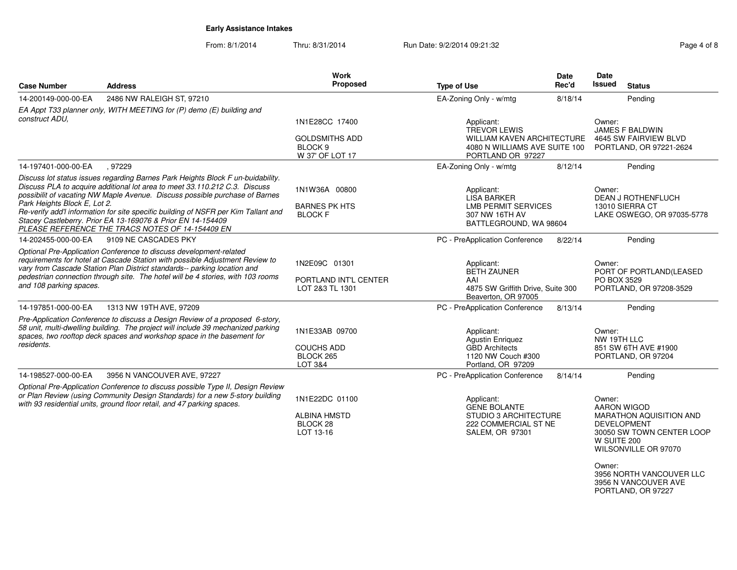From: 8/1/2014

Thru: 8/31/2014 Run Date: 9/2/2014 09:21:32 Rage 4 of 8

| <b>Case Number</b>                                                                                                                                                                                                                                                                                                                           | <b>Address</b>                                                                                                                                                                                                                                                                                                                                                                                                                                        | Work<br>Proposed                                                                 | <b>Type of Use</b>                                                                                                           | Date<br>Rec'd | Date<br><b>Issued</b><br><b>Status</b>                                                                                                                      |
|----------------------------------------------------------------------------------------------------------------------------------------------------------------------------------------------------------------------------------------------------------------------------------------------------------------------------------------------|-------------------------------------------------------------------------------------------------------------------------------------------------------------------------------------------------------------------------------------------------------------------------------------------------------------------------------------------------------------------------------------------------------------------------------------------------------|----------------------------------------------------------------------------------|------------------------------------------------------------------------------------------------------------------------------|---------------|-------------------------------------------------------------------------------------------------------------------------------------------------------------|
| 14-200149-000-00-EA                                                                                                                                                                                                                                                                                                                          | 2486 NW RALEIGH ST, 97210                                                                                                                                                                                                                                                                                                                                                                                                                             |                                                                                  | EA-Zoning Only - w/mtg                                                                                                       | 8/18/14       | Pending                                                                                                                                                     |
| construct ADU.                                                                                                                                                                                                                                                                                                                               | EA Appt T33 planner only, WITH MEETING for (P) demo (E) building and                                                                                                                                                                                                                                                                                                                                                                                  | 1N1E28CC 17400<br><b>GOLDSMITHS ADD</b><br>BLOCK <sub>9</sub><br>W 37' OF LOT 17 | Applicant:<br><b>TREVOR LEWIS</b><br><b>WILLIAM KAVEN ARCHITECTURE</b><br>4080 N WILLIAMS AVE SUITE 100<br>PORTLAND OR 97227 |               | Owner:<br><b>JAMES F BALDWIN</b><br>4645 SW FAIRVIEW BLVD<br>PORTLAND, OR 97221-2624                                                                        |
| 14-197401-000-00-EA                                                                                                                                                                                                                                                                                                                          | .97229                                                                                                                                                                                                                                                                                                                                                                                                                                                |                                                                                  | EA-Zoning Only - w/mtg                                                                                                       | 8/12/14       | Pending                                                                                                                                                     |
| Park Heights Block E, Lot 2.                                                                                                                                                                                                                                                                                                                 | Discuss lot status issues regarding Barnes Park Heights Block F un-buidability.<br>Discuss PLA to acquire additional lot area to meet 33.110.212 C.3. Discuss<br>possibilit of vacating NW Maple Avenue. Discuss possible purchase of Barnes<br>Re-verify add'l information for site specific building of NSFR per Kim Tallant and<br>Stacey Castleberry. Prior EA 13-169076 & Prior EN 14-154409<br>PLEASE REFERENCE THE TRACS NOTES OF 14-154409 EN | 1N1W36A 00800<br><b>BARNES PK HTS</b><br><b>BLOCK F</b>                          | Applicant:<br><b>LISA BARKER</b><br><b>LMB PERMIT SERVICES</b><br>307 NW 16TH AV<br>BATTLEGROUND, WA 98604                   |               | Owner:<br><b>DEAN J ROTHENFLUCH</b><br>13010 SIERRA CT<br>LAKE OSWEGO, OR 97035-5778                                                                        |
| 14-202455-000-00-EA                                                                                                                                                                                                                                                                                                                          | 9109 NE CASCADES PKY                                                                                                                                                                                                                                                                                                                                                                                                                                  |                                                                                  | PC - PreApplication Conference                                                                                               | 8/22/14       | Pending                                                                                                                                                     |
| Optional Pre-Application Conference to discuss development-related<br>requirements for hotel at Cascade Station with possible Adjustment Review to<br>vary from Cascade Station Plan District standards-- parking location and<br>pedestrian connection through site. The hotel will be 4 stories, with 103 rooms<br>and 108 parking spaces. |                                                                                                                                                                                                                                                                                                                                                                                                                                                       | 1N2E09C 01301<br>PORTLAND INT'L CENTER<br>LOT 2&3 TL 1301                        | Applicant:<br><b>BETH ZAUNER</b><br>AAI<br>4875 SW Griffith Drive, Suite 300<br>Beaverton, OR 97005                          |               | Owner:<br>PORT OF PORTLAND(LEASED<br>PO BOX 3529<br>PORTLAND, OR 97208-3529                                                                                 |
| 14-197851-000-00-EA                                                                                                                                                                                                                                                                                                                          | 1313 NW 19TH AVE, 97209                                                                                                                                                                                                                                                                                                                                                                                                                               |                                                                                  | PC - PreApplication Conference                                                                                               | 8/13/14       | Pending                                                                                                                                                     |
| residents.                                                                                                                                                                                                                                                                                                                                   | Pre-Application Conference to discuss a Design Review of a proposed 6-story,<br>58 unit, multi-dwelling building. The project will include 39 mechanized parking<br>spaces, two rooftop deck spaces and workshop space in the basement for                                                                                                                                                                                                            | 1N1E33AB 09700<br><b>COUCHS ADD</b><br>BLOCK 265<br>LOT 3&4                      | Applicant:<br><b>Agustin Enriquez</b><br><b>GBD Architects</b><br>1120 NW Couch #300<br>Portland, OR 97209                   |               | Owner:<br>NW 19TH LLC<br>851 SW 6TH AVE #1900<br>PORTLAND, OR 97204                                                                                         |
| 14-198527-000-00-EA                                                                                                                                                                                                                                                                                                                          | 3956 N VANCOUVER AVE, 97227                                                                                                                                                                                                                                                                                                                                                                                                                           |                                                                                  | PC - PreApplication Conference                                                                                               | 8/14/14       | Pending                                                                                                                                                     |
|                                                                                                                                                                                                                                                                                                                                              | Optional Pre-Application Conference to discuss possible Type II, Design Review<br>or Plan Review (using Community Design Standards) for a new 5-story building<br>with 93 residential units, ground floor retail, and 47 parking spaces.                                                                                                                                                                                                              | 1N1E22DC 01100<br><b>ALBINA HMSTD</b><br>BLOCK 28<br>LOT 13-16                   | Applicant:<br><b>GENE BOLANTE</b><br><b>STUDIO 3 ARCHITECTURE</b><br>222 COMMERCIAL ST NE<br>SALEM, OR 97301                 |               | Owner:<br><b>AARON WIGOD</b><br>MARATHON AQUISITION AND<br><b>DEVELOPMENT</b><br>30050 SW TOWN CENTER LOOP<br>W SUITE 200<br>WILSONVILLE OR 97070<br>Owner: |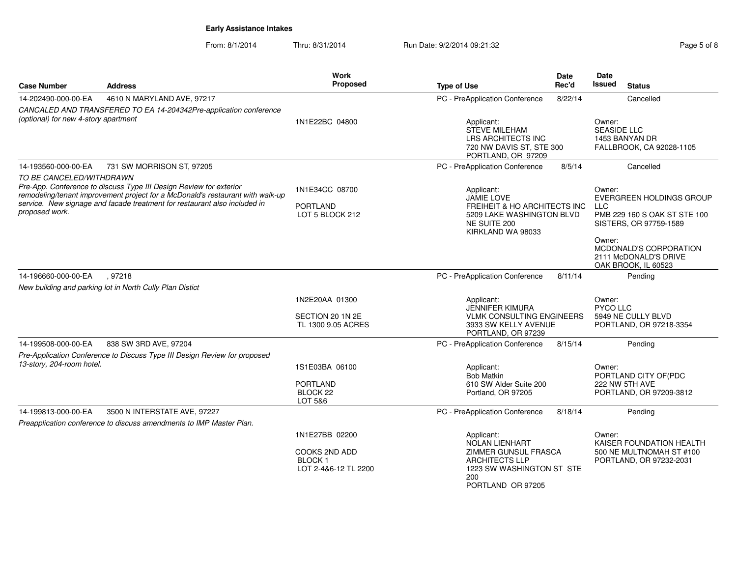From: 8/1/2014Thru: 8/31/2014 Run Date: 9/2/2014 09:21:32 Rege 5 of 8

|                                            |                                                                                                                                                                                                                                   | Work                                                                     |                                                                                                                                        | Date    | Date                           |                                                                                                                                                              |
|--------------------------------------------|-----------------------------------------------------------------------------------------------------------------------------------------------------------------------------------------------------------------------------------|--------------------------------------------------------------------------|----------------------------------------------------------------------------------------------------------------------------------------|---------|--------------------------------|--------------------------------------------------------------------------------------------------------------------------------------------------------------|
| <b>Case Number</b>                         | <b>Address</b>                                                                                                                                                                                                                    | Proposed                                                                 | <b>Type of Use</b>                                                                                                                     | Rec'd   | <b>Issued</b>                  | <b>Status</b>                                                                                                                                                |
| 14-202490-000-00-EA                        | 4610 N MARYLAND AVE, 97217                                                                                                                                                                                                        |                                                                          | PC - PreApplication Conference                                                                                                         | 8/22/14 |                                | Cancelled                                                                                                                                                    |
| (optional) for new 4-story apartment       | CANCALED AND TRANSFERED TO EA 14-204342Pre-application conference                                                                                                                                                                 | 1N1E22BC 04800                                                           | Applicant:<br><b>STEVE MILEHAM</b><br>LRS ARCHITECTS INC<br>720 NW DAVIS ST, STE 300<br>PORTLAND, OR 97209                             |         | Owner:<br><b>SEASIDE LLC</b>   | 1453 BANYAN DR<br>FALLBROOK, CA 92028-1105                                                                                                                   |
| 14-193560-000-00-EA                        | 731 SW MORRISON ST, 97205                                                                                                                                                                                                         |                                                                          | PC - PreApplication Conference                                                                                                         | 8/5/14  |                                | Cancelled                                                                                                                                                    |
| TO BE CANCELED/WITHDRAWN<br>proposed work. | Pre-App. Conference to discuss Type III Design Review for exterior<br>remodeling/tenant improvement project for a McDonald's restaurant with walk-up<br>service. New signage and facade treatment for restaurant also included in | 1N1E34CC 08700<br><b>PORTLAND</b><br>LOT 5 BLOCK 212                     | Applicant:<br><b>JAMIE LOVE</b><br>FREIHEIT & HO ARCHITECTS INC<br>5209 LAKE WASHINGTON BLVD<br>NE SUITE 200<br>KIRKLAND WA 98033      |         | Owner:<br><b>LLC</b><br>Owner: | EVERGREEN HOLDINGS GROUP<br>PMB 229 160 S OAK ST STE 100<br>SISTERS, OR 97759-1589<br>MCDONALD'S CORPORATION<br>2111 McDONALD'S DRIVE<br>OAK BROOK, IL 60523 |
| 14-196660-000-00-EA                        | .97218                                                                                                                                                                                                                            |                                                                          | PC - PreApplication Conference                                                                                                         | 8/11/14 |                                | Pending                                                                                                                                                      |
|                                            | New building and parking lot in North Cully Plan Distict                                                                                                                                                                          |                                                                          |                                                                                                                                        |         |                                |                                                                                                                                                              |
|                                            |                                                                                                                                                                                                                                   | 1N2E20AA 01300<br>SECTION 20 1N 2E<br>TL 1300 9.05 ACRES                 | Applicant:<br><b>JENNIFER KIMURA</b><br><b>VLMK CONSULTING ENGINEERS</b><br>3933 SW KELLY AVENUE<br>PORTLAND, OR 97239                 |         | Owner:<br>PYCO LLC             | 5949 NE CULLY BLVD<br>PORTLAND, OR 97218-3354                                                                                                                |
| 14-199508-000-00-EA                        | 838 SW 3RD AVE, 97204                                                                                                                                                                                                             |                                                                          | PC - PreApplication Conference                                                                                                         | 8/15/14 |                                | Pending                                                                                                                                                      |
| 13-story, 204-room hotel.                  | Pre-Application Conference to Discuss Type III Design Review for proposed                                                                                                                                                         | 1S1E03BA 06100<br><b>PORTLAND</b><br>BLOCK <sub>22</sub><br>LOT 5&6      | Applicant:<br><b>Bob Matkin</b><br>610 SW Alder Suite 200<br>Portland, OR 97205                                                        |         | Owner:                         | PORTLAND CITY OF(PDC<br>222 NW 5TH AVE<br>PORTLAND, OR 97209-3812                                                                                            |
| 14-199813-000-00-EA                        | 3500 N INTERSTATE AVE, 97227                                                                                                                                                                                                      |                                                                          | PC - PreApplication Conference                                                                                                         | 8/18/14 |                                | Pending                                                                                                                                                      |
|                                            | Preapplication conference to discuss amendments to IMP Master Plan.                                                                                                                                                               |                                                                          |                                                                                                                                        |         |                                |                                                                                                                                                              |
|                                            |                                                                                                                                                                                                                                   | 1N1E27BB 02200<br>COOKS 2ND ADD<br><b>BLOCK1</b><br>LOT 2-4&6-12 TL 2200 | Applicant:<br>NOLAN LIENHART<br>ZIMMER GUNSUL FRASCA<br><b>ARCHITECTS LLP</b><br>1223 SW WASHINGTON ST STE<br>200<br>PORTLAND OR 97205 |         | Owner:                         | KAISER FOUNDATION HEALTH<br>500 NE MULTNOMAH ST #100<br>PORTLAND, OR 97232-2031                                                                              |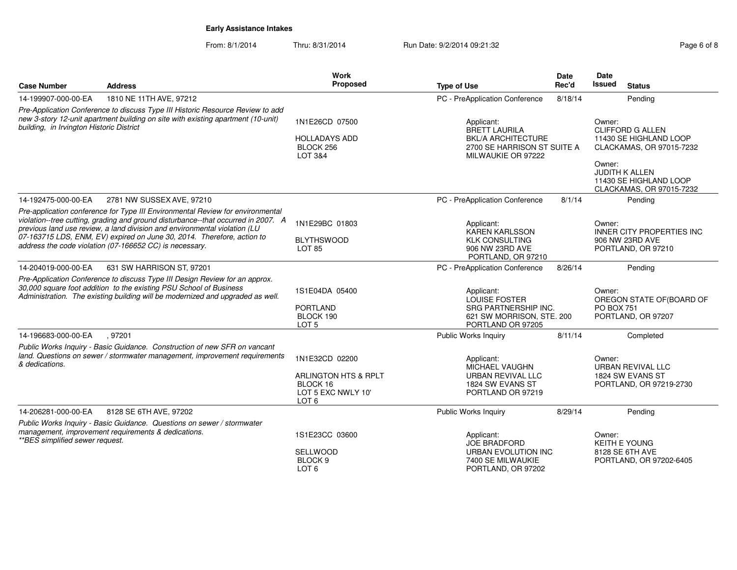From: 8/1/2014Thru: 8/31/2014 Run Date: 9/2/2014 09:21:32 Rage 6 of 8

| <b>Case Number</b>                       | <b>Address</b>                                                                                                                                                                                                                                                                                                                                                                        | <b>Work</b><br>Proposed                                                           | <b>Type of Use</b>                                                                                                   | Date<br>Rec'd | <b>Date</b><br><b>Issued</b><br><b>Status</b>                                                                                                                             |
|------------------------------------------|---------------------------------------------------------------------------------------------------------------------------------------------------------------------------------------------------------------------------------------------------------------------------------------------------------------------------------------------------------------------------------------|-----------------------------------------------------------------------------------|----------------------------------------------------------------------------------------------------------------------|---------------|---------------------------------------------------------------------------------------------------------------------------------------------------------------------------|
| 14-199907-000-00-EA                      | 1810 NE 11TH AVE, 97212                                                                                                                                                                                                                                                                                                                                                               |                                                                                   | PC - PreApplication Conference                                                                                       | 8/18/14       | Pending                                                                                                                                                                   |
| building, in Irvington Historic District | Pre-Application Conference to discuss Type III Historic Resource Review to add<br>new 3-story 12-unit apartment building on site with existing apartment (10-unit)                                                                                                                                                                                                                    | 1N1E26CD 07500<br><b>HOLLADAYS ADD</b><br>BLOCK 256<br>LOT 3&4                    | Applicant:<br><b>BRETT LAURILA</b><br><b>BKL/A ARCHITECTURE</b><br>2700 SE HARRISON ST SUITE A<br>MILWAUKIE OR 97222 |               | Owner:<br><b>CLIFFORD G ALLEN</b><br>11430 SE HIGHLAND LOOP<br>CLACKAMAS, OR 97015-7232<br>Owner:<br>JUDITH K ALLEN<br>11430 SE HIGHLAND LOOP<br>CLACKAMAS, OR 97015-7232 |
| 14-192475-000-00-EA                      | 2781 NW SUSSEX AVE, 97210                                                                                                                                                                                                                                                                                                                                                             |                                                                                   | PC - PreApplication Conference                                                                                       | 8/1/14        | Pending                                                                                                                                                                   |
|                                          | Pre-application conference for Type III Environmental Review for environmental<br>violation--tree cutting, grading and ground disturbance--that occurred in 2007. A<br>previous land use review, a land division and environmental violation (LU<br>07-163715 LDS, ENM, EV) expired on June 30, 2014. Therefore, action to<br>address the code violation (07-166652 CC) is necessary. | 1N1E29BC 01803<br><b>BLYTHSWOOD</b><br>LOT 85                                     | Applicant:<br><b>KAREN KARLSSON</b><br><b>KLK CONSULTING</b><br>906 NW 23RD AVE<br>PORTLAND, OR 97210                |               | Owner:<br><b>INNER CITY PROPERTIES INC</b><br>906 NW 23RD AVE<br>PORTLAND, OR 97210                                                                                       |
| 14-204019-000-00-EA                      | 631 SW HARRISON ST, 97201                                                                                                                                                                                                                                                                                                                                                             |                                                                                   | PC - PreApplication Conference                                                                                       | 8/26/14       | Pending                                                                                                                                                                   |
|                                          | Pre-Application Conference to discuss Type III Design Review for an approx.<br>30,000 square foot addition to the existing PSU School of Business<br>Administration. The existing building will be modernized and upgraded as well.                                                                                                                                                   | 1S1E04DA 05400<br><b>PORTLAND</b><br>BLOCK 190<br>LOT <sub>5</sub>                | Applicant:<br>LOUISE FOSTER<br>SRG PARTNERSHIP INC.<br>621 SW MORRISON, STE. 200<br>PORTLAND OR 97205                |               | Owner:<br>OREGON STATE OF (BOARD OF<br><b>PO BOX 751</b><br>PORTLAND, OR 97207                                                                                            |
| 14-196683-000-00-EA                      | , 97201                                                                                                                                                                                                                                                                                                                                                                               |                                                                                   | <b>Public Works Inquiry</b>                                                                                          | 8/11/14       | Completed                                                                                                                                                                 |
| & dedications.                           | Public Works Inquiry - Basic Guidance. Construction of new SFR on vancant<br>land. Questions on sewer / stormwater management, improvement requirements                                                                                                                                                                                                                               | 1N1E32CD 02200<br>ARLINGTON HTS & RPLT<br>BLOCK 16<br>LOT 5 EXC NWLY 10'<br>LOT 6 | Applicant:<br><b>MICHAEL VAUGHN</b><br>URBAN REVIVAL LLC<br>1824 SW EVANS ST<br>PORTLAND OR 97219                    |               | Owner:<br>URBAN REVIVAL LLC<br>1824 SW EVANS ST<br>PORTLAND, OR 97219-2730                                                                                                |
| 14-206281-000-00-EA                      | 8128 SE 6TH AVE, 97202                                                                                                                                                                                                                                                                                                                                                                |                                                                                   | Public Works Inquiry                                                                                                 | 8/29/14       | Pending                                                                                                                                                                   |
| **BES simplified sewer request.          | Public Works Inquiry - Basic Guidance. Questions on sewer / stormwater<br>management, improvement requirements & dedications.                                                                                                                                                                                                                                                         | 1S1E23CC 03600<br><b>SELLWOOD</b><br>BLOCK <sub>9</sub><br>LOT <sub>6</sub>       | Applicant:<br><b>JOE BRADFORD</b><br><b>URBAN EVOLUTION INC</b><br>7400 SE MILWAUKIE<br>PORTLAND, OR 97202           |               | Owner:<br><b>KEITH E YOUNG</b><br>8128 SE 6TH AVE<br>PORTLAND, OR 97202-6405                                                                                              |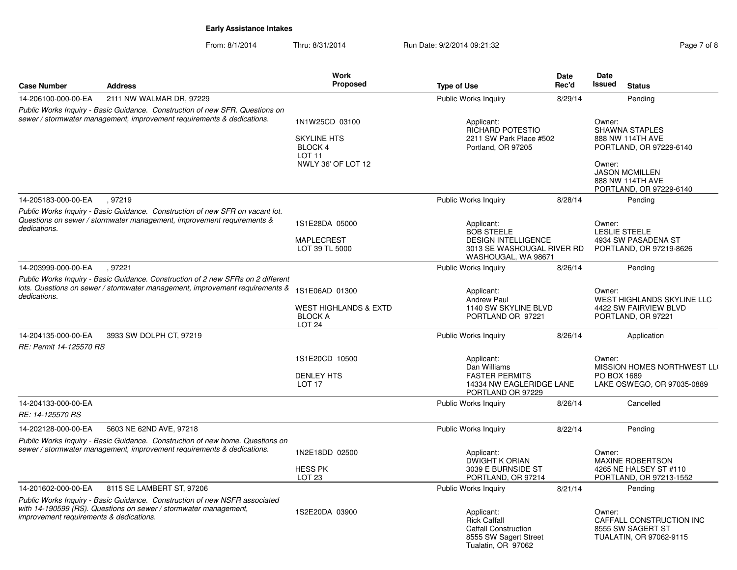From: 8/1/2014Thru: 8/31/2014 Run Date: 9/2/2014 09:21:32 Rage 7 of 8

| <b>Case Number</b>                      | <b>Address</b>                                                                                                                                                   | <b>Work</b><br><b>Proposed</b>                                                             | <b>Type of Use</b>                                                                                                 | Date<br>Rec'd            | Date<br>Issued   | <b>Status</b>                                                                                                                                |
|-----------------------------------------|------------------------------------------------------------------------------------------------------------------------------------------------------------------|--------------------------------------------------------------------------------------------|--------------------------------------------------------------------------------------------------------------------|--------------------------|------------------|----------------------------------------------------------------------------------------------------------------------------------------------|
| 14-206100-000-00-EA                     | 2111 NW WALMAR DR, 97229                                                                                                                                         |                                                                                            | Public Works Inquiry                                                                                               | 8/29/14                  |                  | Pendina                                                                                                                                      |
|                                         | Public Works Inquiry - Basic Guidance. Construction of new SFR. Questions on<br>sewer / stormwater management, improvement requirements & dedications.           | 1N1W25CD 03100<br><b>SKYLINE HTS</b><br>BLOCK 4<br>LOT <sub>11</sub><br>NWLY 36' OF LOT 12 | Applicant:<br>RICHARD POTESTIO<br>2211 SW Park Place #502<br>Portland, OR 97205                                    |                          | Owner:<br>Owner: | <b>SHAWNA STAPLES</b><br>888 NW 114TH AVE<br>PORTLAND, OR 97229-6140<br><b>JASON MCMILLEN</b><br>888 NW 114TH AVE<br>PORTLAND, OR 97229-6140 |
| 14-205183-000-00-EA                     | .97219                                                                                                                                                           |                                                                                            | Public Works Inquiry                                                                                               | 8/28/14                  |                  | Pendina                                                                                                                                      |
| dedications.                            | Public Works Inquiry - Basic Guidance. Construction of new SFR on vacant lot.<br>Questions on sewer / stormwater management, improvement requirements &          | 1S1E28DA 05000<br>MAPLECREST<br>LOT 39 TL 5000                                             | Applicant:<br><b>BOB STEELE</b><br><b>DESIGN INTELLIGENCE</b><br>3013 SE WASHOUGAL RIVER RD<br>WASHOUGAL, WA 98671 |                          | Owner:           | <b>LESLIE STEELE</b><br>4934 SW PASADENA ST<br>PORTLAND, OR 97219-8626                                                                       |
| 14-203999-000-00-EA                     | , 97221                                                                                                                                                          |                                                                                            | Public Works Inquiry                                                                                               | 8/26/14                  |                  | Pending                                                                                                                                      |
| dedications.                            | Public Works Inquiry - Basic Guidance. Construction of 2 new SFRs on 2 different<br>lots. Questions on sewer / stormwater management, improvement requirements & | 1S1E06AD 01300<br><b>WEST HIGHLANDS &amp; EXTD</b><br><b>BLOCK A</b><br><b>LOT 24</b>      | Applicant:<br><b>Andrew Paul</b><br>1140 SW SKYLINE BLVD<br>PORTLAND OR 97221                                      |                          | Owner:           | WEST HIGHLANDS SKYLINE LLC<br>4422 SW FAIRVIEW BLVD<br>PORTLAND, OR 97221                                                                    |
| 14-204135-000-00-EA                     | 3933 SW DOLPH CT, 97219                                                                                                                                          |                                                                                            | Public Works Inquiry                                                                                               | 8/26/14                  |                  | Application                                                                                                                                  |
| RE: Permit 14-125570 RS                 |                                                                                                                                                                  |                                                                                            |                                                                                                                    |                          |                  |                                                                                                                                              |
|                                         |                                                                                                                                                                  | 1S1E20CD 10500<br><b>DENLEY HTS</b><br>LOT <sub>17</sub>                                   | Applicant:<br>Dan Williams<br><b>FASTER PERMITS</b><br>PORTLAND OR 97229                                           | 14334 NW EAGLERIDGE LANE |                  | MISSION HOMES NORTHWEST LLO<br>PO BOX 1689<br>LAKE OSWEGO, OR 97035-0889                                                                     |
| 14-204133-000-00-EA                     |                                                                                                                                                                  |                                                                                            | Public Works Inquiry                                                                                               | 8/26/14                  |                  | Cancelled                                                                                                                                    |
| RE: 14-125570 RS                        |                                                                                                                                                                  |                                                                                            |                                                                                                                    |                          |                  |                                                                                                                                              |
| 14-202128-000-00-EA                     | 5603 NE 62ND AVE, 97218                                                                                                                                          |                                                                                            | Public Works Inquiry                                                                                               | 8/22/14                  |                  | Pending                                                                                                                                      |
|                                         | Public Works Inquiry - Basic Guidance. Construction of new home. Questions on<br>sewer / stormwater management, improvement requirements & dedications.          | 1N2E18DD 02500<br><b>HESS PK</b><br>LOT <sub>23</sub>                                      | Applicant:<br>DWIGHT K ORIAN<br>3039 E BURNSIDE ST<br>PORTLAND, OR 97214                                           |                          | Owner:           | <b>MAXINE ROBERTSON</b><br>4265 NE HALSEY ST #110<br>PORTLAND, OR 97213-1552                                                                 |
| 14-201602-000-00-EA                     | 8115 SE LAMBERT ST, 97206                                                                                                                                        |                                                                                            | <b>Public Works Inquiry</b>                                                                                        | 8/21/14                  |                  | Pending                                                                                                                                      |
| improvement requirements & dedications. | Public Works Inquiry - Basic Guidance. Construction of new NSFR associated<br>with 14-190599 (RS). Questions on sewer / stormwater management,                   | 1S2E20DA 03900                                                                             | Applicant:<br><b>Rick Caffall</b><br><b>Caffall Construction</b><br>8555 SW Sagert Street                          |                          | Owner:           | CAFFALL CONSTRUCTION INC<br>8555 SW SAGERT ST<br><b>TUALATIN, OR 97062-9115</b>                                                              |

Tualatin, OR 97062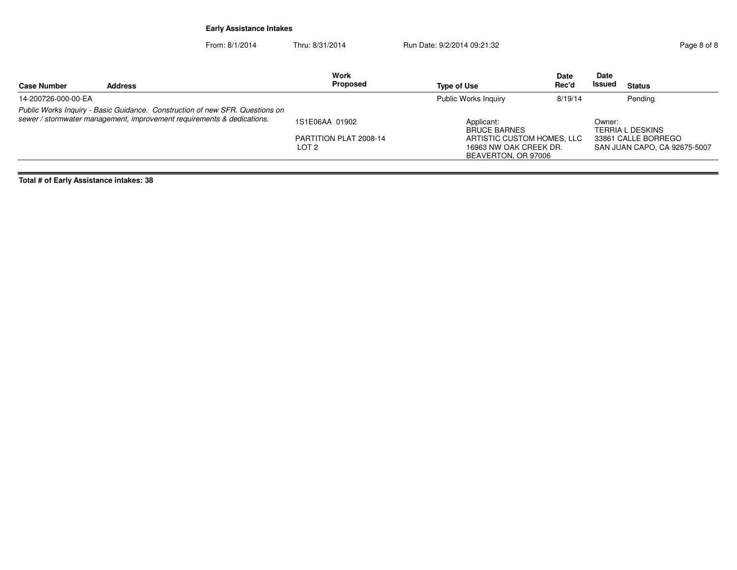From: 8/1/2014Thru: 8/31/2014 Run Date: 9/2/2014 09:21:32 Rage 8 of 8

| <b>Address</b><br><b>Case Number</b>                                                                                                                   | <b>Proposed</b>                                              | Type of Use                                                                                                      | <b>Date</b><br>Rec'd | <b>Date</b><br><b>Issued</b> | <b>Status</b>                                                           |
|--------------------------------------------------------------------------------------------------------------------------------------------------------|--------------------------------------------------------------|------------------------------------------------------------------------------------------------------------------|----------------------|------------------------------|-------------------------------------------------------------------------|
| 14-200726-000-00-EA                                                                                                                                    |                                                              | <b>Public Works Inquiry</b>                                                                                      | 8/19/14              |                              | Pending                                                                 |
| Public Works Inquiry - Basic Guidance. Construction of new SFR. Questions on<br>sewer / stormwater management, improvement requirements & dedications. | 1S1E06AA 01902<br>PARTITION PLAT 2008-14<br>LOT <sub>2</sub> | Applicant:<br><b>BRUCE BARNES</b><br>ARTISTIC CUSTOM HOMES, LLC<br>16963 NW OAK CREEK DR.<br>BEAVERTON, OR 97006 |                      | Owner:                       | TERRIA L DESKINS<br>33861 CALLE BORREGO<br>SAN JUAN CAPO, CA 92675-5007 |

**Total # of Early Assistance intakes: 38**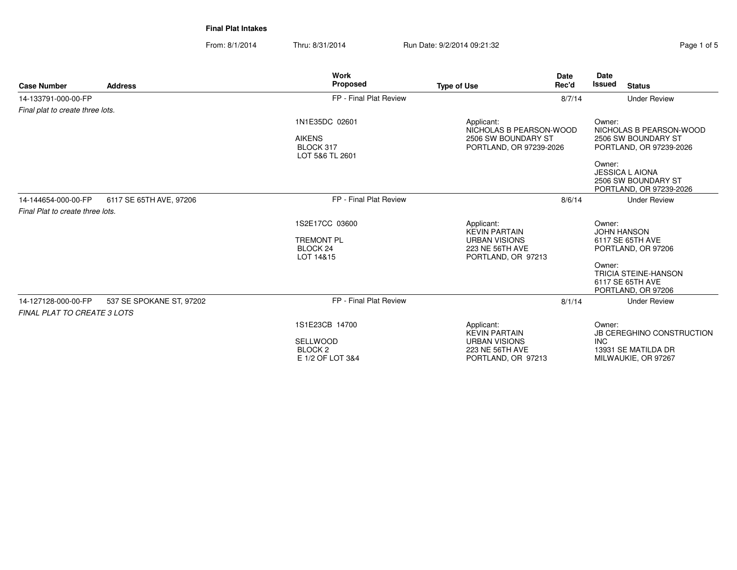**Final Plat Intakes**

From: 8/1/2014Thru: 8/31/2014 Run Date: 9/2/2014 09:21:32 Rage 1 of 5

| <b>Case Number</b>                 | <b>Address</b>           | <b>Work</b><br><b>Proposed</b>                                  | <b>Type of Use</b>                                                                      | <b>Date</b><br>Rec'd | Date<br><b>Issued</b> | <b>Status</b>                                                             |
|------------------------------------|--------------------------|-----------------------------------------------------------------|-----------------------------------------------------------------------------------------|----------------------|-----------------------|---------------------------------------------------------------------------|
| 14-133791-000-00-FP                |                          | FP - Final Plat Review                                          |                                                                                         | 8/7/14               |                       | <b>Under Review</b>                                                       |
| Final plat to create three lots.   |                          |                                                                 |                                                                                         |                      |                       |                                                                           |
|                                    |                          | 1N1E35DC 02601<br><b>AIKENS</b><br>BLOCK 317<br>LOT 5&6 TL 2601 | Applicant:<br>NICHOLAS B PEARSON-WOOD<br>2506 SW BOUNDARY ST<br>PORTLAND, OR 97239-2026 |                      | Owner:                | NICHOLAS B PEARSON-WOOD<br>2506 SW BOUNDARY ST<br>PORTLAND, OR 97239-2026 |
|                                    |                          |                                                                 |                                                                                         |                      | Owner:                | <b>JESSICA L AIONA</b><br>2506 SW BOUNDARY ST<br>PORTLAND, OR 97239-2026  |
| 14-144654-000-00-FP                | 6117 SE 65TH AVE, 97206  | FP - Final Plat Review                                          |                                                                                         | 8/6/14               |                       | <b>Under Review</b>                                                       |
| Final Plat to create three lots.   |                          |                                                                 |                                                                                         |                      |                       |                                                                           |
|                                    |                          | 1S2E17CC 03600                                                  | Applicant:                                                                              |                      | Owner:                |                                                                           |
|                                    |                          | <b>TREMONT PL</b><br>BLOCK <sub>24</sub><br>LOT 14&15           | <b>KEVIN PARTAIN</b><br><b>URBAN VISIONS</b><br>223 NE 56TH AVE<br>PORTLAND, OR 97213   |                      |                       | <b>JOHN HANSON</b><br>6117 SE 65TH AVE<br>PORTLAND, OR 97206              |
|                                    |                          |                                                                 |                                                                                         |                      | Owner:                | <b>TRICIA STEINE-HANSON</b><br>6117 SE 65TH AVE<br>PORTLAND, OR 97206     |
| 14-127128-000-00-FP                | 537 SE SPOKANE ST, 97202 | FP - Final Plat Review                                          |                                                                                         | 8/1/14               |                       | <b>Under Review</b>                                                       |
| <b>FINAL PLAT TO CREATE 3 LOTS</b> |                          |                                                                 |                                                                                         |                      |                       |                                                                           |
|                                    |                          | 1S1E23CB 14700                                                  | Applicant:<br><b>KEVIN PARTAIN</b>                                                      |                      | Owner:                | <b>JB CEREGHINO CONSTRUCTION</b>                                          |
|                                    |                          | <b>SELLWOOD</b><br>BLOCK <sub>2</sub><br>E 1/2 OF LOT 3&4       | <b>URBAN VISIONS</b><br>223 NE 56TH AVE<br>PORTLAND, OR 97213                           |                      | <b>INC</b>            | 13931 SE MATILDA DR<br>MILWAUKIE, OR 97267                                |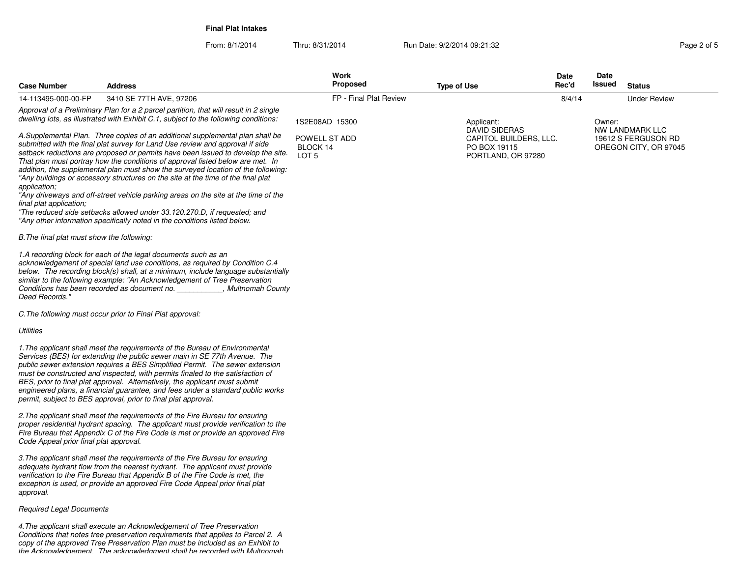**Final Plat Intakes**

From: 8/1/2014Thru: 8/31/2014 Run Date: 9/2/2014 09:21:32 Research 2010 12:32

| <b>Case Number</b>                                                                    | <b>Address</b>                                                                                                                                                                                                                                                                                                                                                                                                                                                                                                                                                                                                                                                                                                                                               | Work<br><b>Proposed</b>                              | <b>Type of Use</b>                                                            | <b>Date</b><br>Rec'd | Date<br>Issued | <b>Status</b>                                                   |
|---------------------------------------------------------------------------------------|--------------------------------------------------------------------------------------------------------------------------------------------------------------------------------------------------------------------------------------------------------------------------------------------------------------------------------------------------------------------------------------------------------------------------------------------------------------------------------------------------------------------------------------------------------------------------------------------------------------------------------------------------------------------------------------------------------------------------------------------------------------|------------------------------------------------------|-------------------------------------------------------------------------------|----------------------|----------------|-----------------------------------------------------------------|
| 14-113495-000-00-FP                                                                   | 3410 SE 77TH AVE, 97206                                                                                                                                                                                                                                                                                                                                                                                                                                                                                                                                                                                                                                                                                                                                      | FP - Final Plat Review                               |                                                                               | 8/4/14               |                | <b>Under Review</b>                                             |
|                                                                                       | Approval of a Preliminary Plan for a 2 parcel partition, that will result in 2 single<br>dwelling lots, as illustrated with Exhibit C.1, subject to the following conditions:                                                                                                                                                                                                                                                                                                                                                                                                                                                                                                                                                                                | 1S2E08AD 15300                                       | Applicant:                                                                    |                      | Owner:         |                                                                 |
| application;<br>final plat application;<br>B. The final plat must show the following: | A.Supplemental Plan. Three copies of an additional supplemental plan shall be<br>submitted with the final plat survey for Land Use review and approval if side<br>setback reductions are proposed or permits have been issued to develop the site.<br>That plan must portray how the conditions of approval listed below are met. In<br>addition, the supplemental plan must show the surveyed location of the following:<br>"Any buildings or accessory structures on the site at the time of the final plat<br>"Any driveways and off-street vehicle parking areas on the site at the time of the<br>"The reduced side setbacks allowed under 33.120.270.D, if requested; and<br>"Any other information specifically noted in the conditions listed below. | POWELL ST ADD<br><b>BLOCK 14</b><br>LOT <sub>5</sub> | DAVID SIDERAS<br>CAPITOL BUILDERS, LLC.<br>PO BOX 19115<br>PORTLAND, OR 97280 |                      |                | NW LANDMARK LLC<br>19612 S FERGUSON RD<br>OREGON CITY, OR 97045 |
| Deed Records."                                                                        | 1.A recording block for each of the legal documents such as an<br>acknowledgement of special land use conditions, as required by Condition C.4<br>below. The recording block(s) shall, at a minimum, include language substantially<br>similar to the following example: "An Acknowledgement of Tree Preservation<br>Conditions has been recorded as document no. The Multnomah County                                                                                                                                                                                                                                                                                                                                                                       |                                                      |                                                                               |                      |                |                                                                 |
|                                                                                       | C. The following must occur prior to Final Plat approval:                                                                                                                                                                                                                                                                                                                                                                                                                                                                                                                                                                                                                                                                                                    |                                                      |                                                                               |                      |                |                                                                 |
| Utilities                                                                             |                                                                                                                                                                                                                                                                                                                                                                                                                                                                                                                                                                                                                                                                                                                                                              |                                                      |                                                                               |                      |                |                                                                 |
|                                                                                       | 1. The applicant shall meet the requirements of the Bureau of Environmental<br>Services (BES) for extending the public sewer main in SE 77th Avenue. The<br>public sewer extension requires a BES Simplified Permit. The sewer extension<br>must be constructed and inspected, with permits finaled to the satisfaction of<br>BES, prior to final plat approval. Alternatively, the applicant must submit<br>engineered plans, a financial guarantee, and fees under a standard public works<br>permit, subject to BES approval, prior to final plat approval.                                                                                                                                                                                               |                                                      |                                                                               |                      |                |                                                                 |
| Code Appeal prior final plat approval.                                                | 2. The applicant shall meet the requirements of the Fire Bureau for ensuring<br>proper residential hydrant spacing. The applicant must provide verification to the<br>Fire Bureau that Appendix C of the Fire Code is met or provide an approved Fire                                                                                                                                                                                                                                                                                                                                                                                                                                                                                                        |                                                      |                                                                               |                      |                |                                                                 |
| approval.                                                                             | 3. The applicant shall meet the requirements of the Fire Bureau for ensuring<br>adequate hydrant flow from the nearest hydrant. The applicant must provide<br>verification to the Fire Bureau that Appendix B of the Fire Code is met, the<br>exception is used, or provide an approved Fire Code Appeal prior final plat                                                                                                                                                                                                                                                                                                                                                                                                                                    |                                                      |                                                                               |                      |                |                                                                 |
| <b>Required Legal Documents</b>                                                       |                                                                                                                                                                                                                                                                                                                                                                                                                                                                                                                                                                                                                                                                                                                                                              |                                                      |                                                                               |                      |                |                                                                 |
|                                                                                       |                                                                                                                                                                                                                                                                                                                                                                                                                                                                                                                                                                                                                                                                                                                                                              |                                                      |                                                                               |                      |                |                                                                 |

4.The applicant shall execute an Acknowledgement of Tree Preservation<br>Conditions that notes tree preservation requirements that applies to Parcel 2. A<br>copy of the approved Tree Preservation Plan must be included as an Exhi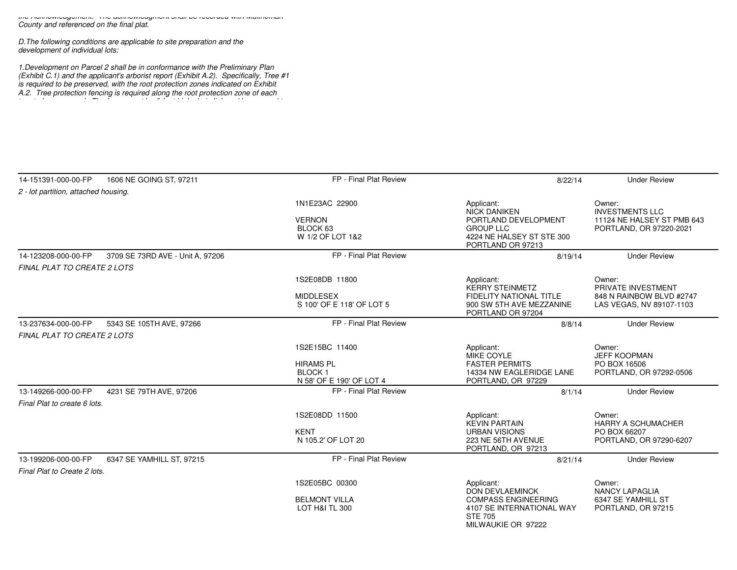the Acknowledgement. The acknowledgment shall be recorded with MultnomahCounty and referenced on the final plat.

D.The following conditions are applicable to site preparation and thedevelopment of individual lots:

1.Development on Parcel 2 shall be in conformance with the Preliminary Plan (Exhibit C.1) and the applicant's arborist report (Exhibit A.2). Specifically, Tree #1is required to be preserved, with the root protection zones indicated on ExhibitA.2. Tree protection fencing is required along the root protection zone of each

tree to be preserved. The fence must be 6-foot high chain link and be secured to

| 14-151391-000-00-FP                  | 1606 NE GOING ST, 97211          | FP - Final Plat Review                                                               | 8/22/14                                                                                                                         | <b>Under Review</b>                                                                       |
|--------------------------------------|----------------------------------|--------------------------------------------------------------------------------------|---------------------------------------------------------------------------------------------------------------------------------|-------------------------------------------------------------------------------------------|
| 2 - lot partition, attached housing. |                                  |                                                                                      |                                                                                                                                 |                                                                                           |
|                                      |                                  | 1N1E23AC 22900<br><b>VERNON</b><br>BLOCK 63<br>W 1/2 OF LOT 1&2                      | Applicant:<br><b>NICK DANIKEN</b><br>PORTLAND DEVELOPMENT<br><b>GROUP LLC</b><br>4224 NE HALSEY ST STE 300<br>PORTLAND OR 97213 | Owner:<br><b>INVESTMENTS LLC</b><br>11124 NE HALSEY ST PMB 643<br>PORTLAND, OR 97220-2021 |
| 14-123208-000-00-FP                  | 3709 SE 73RD AVE - Unit A. 97206 | FP - Final Plat Review                                                               | 8/19/14                                                                                                                         | <b>Under Review</b>                                                                       |
| <b>FINAL PLAT TO CREATE 2 LOTS</b>   |                                  |                                                                                      |                                                                                                                                 |                                                                                           |
|                                      |                                  | 1S2E08DB 11800<br><b>MIDDLESEX</b><br>S 100' OF E 118' OF LOT 5                      | Applicant:<br><b>KERRY STEINMETZ</b><br>FIDELITY NATIONAL TITLE<br>900 SW 5TH AVE MEZZANINE<br>PORTLAND OR 97204                | Owner:<br>PRIVATE INVESTMENT<br>848 N RAINBOW BLVD #2747<br>LAS VEGAS, NV 89107-1103      |
| 13-237634-000-00-FP                  | 5343 SE 105TH AVE, 97266         | FP - Final Plat Review                                                               | 8/8/14                                                                                                                          | <b>Under Review</b>                                                                       |
| FINAL PLAT TO CREATE 2 LOTS          |                                  |                                                                                      |                                                                                                                                 |                                                                                           |
|                                      |                                  | 1S2E15BC 11400<br><b>HIRAMS PL</b><br>BLOCK <sub>1</sub><br>N 58' OF E 190' OF LOT 4 | Applicant:<br><b>MIKE COYLE</b><br><b>FASTER PERMITS</b><br>14334 NW EAGLERIDGE LANE<br>PORTLAND, OR 97229                      | Owner:<br><b>JEFF KOOPMAN</b><br>PO BOX 16506<br>PORTLAND, OR 97292-0506                  |
| 13-149266-000-00-FP                  | 4231 SE 79TH AVE, 97206          | FP - Final Plat Review                                                               | 8/1/14                                                                                                                          | <b>Under Review</b>                                                                       |
| Final Plat to create 6 lots.         |                                  |                                                                                      |                                                                                                                                 |                                                                                           |
|                                      |                                  | 1S2E08DD 11500<br><b>KENT</b><br>N 105.2' OF LOT 20                                  | Applicant:<br><b>KEVIN PARTAIN</b><br><b>URBAN VISIONS</b><br>223 NE 56TH AVENUE<br>PORTLAND, OR 97213                          | Owner:<br><b>HARRY A SCHUMACHER</b><br>PO BOX 66207<br>PORTLAND, OR 97290-6207            |
| 13-199206-000-00-FP                  | 6347 SE YAMHILL ST, 97215        | FP - Final Plat Review                                                               | 8/21/14                                                                                                                         | <b>Under Review</b>                                                                       |
| Final Plat to Create 2 lots.         |                                  |                                                                                      |                                                                                                                                 |                                                                                           |
|                                      |                                  | 1S2E05BC 00300                                                                       | Applicant:<br><b>DON DEVLAEMINCK</b>                                                                                            | Owner:<br><b>NANCY LAPAGLIA</b>                                                           |
|                                      |                                  | <b>BELMONT VILLA</b><br>LOT H&I TL 300                                               | <b>COMPASS ENGINEERING</b><br>4107 SE INTERNATIONAL WAY<br><b>STE 705</b><br>MILWAUKIE OR 97222                                 | 6347 SE YAMHILL ST<br>PORTLAND, OR 97215                                                  |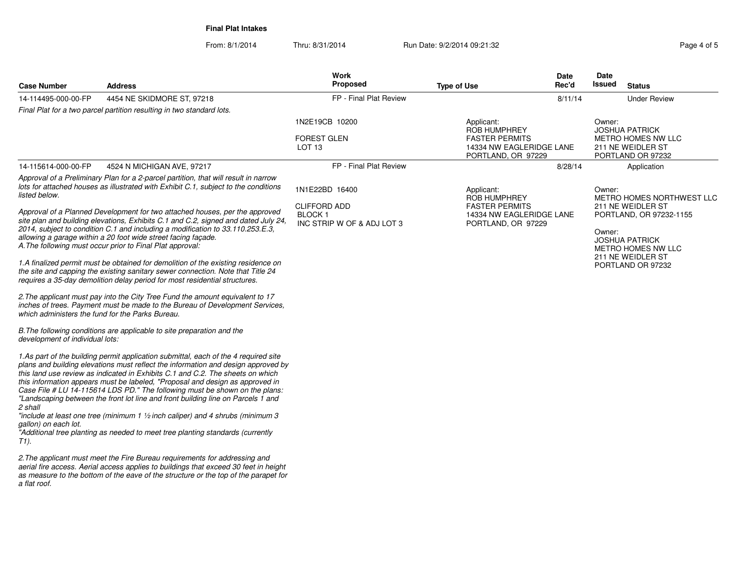**Final Plat Intakes**

From: 8/1/2014

Thru: 8/31/2014 Run Date: 9/2/2014 09:21:32 Rage 4 of 5

| <b>Case Number</b>                               | <b>Address</b>                                                                                                                                                                                                                                                                                                                                                                                                                                                                                                                                                                                                                                                                                | <b>Work</b><br>Proposed                                   | <b>Type of Use</b>                                                                                    | Date<br>Rec'd | Date<br>Issued<br><b>Status</b>                                                                 |
|--------------------------------------------------|-----------------------------------------------------------------------------------------------------------------------------------------------------------------------------------------------------------------------------------------------------------------------------------------------------------------------------------------------------------------------------------------------------------------------------------------------------------------------------------------------------------------------------------------------------------------------------------------------------------------------------------------------------------------------------------------------|-----------------------------------------------------------|-------------------------------------------------------------------------------------------------------|---------------|-------------------------------------------------------------------------------------------------|
| 14-114495-000-00-FP                              | 4454 NE SKIDMORE ST, 97218                                                                                                                                                                                                                                                                                                                                                                                                                                                                                                                                                                                                                                                                    | FP - Final Plat Review                                    |                                                                                                       | 8/11/14       | <b>Under Review</b>                                                                             |
|                                                  | Final Plat for a two parcel partition resulting in two standard lots.                                                                                                                                                                                                                                                                                                                                                                                                                                                                                                                                                                                                                         |                                                           |                                                                                                       |               |                                                                                                 |
|                                                  |                                                                                                                                                                                                                                                                                                                                                                                                                                                                                                                                                                                                                                                                                               | 1N2E19CB 10200<br><b>FOREST GLEN</b><br>LOT <sub>13</sub> | Applicant:<br>ROB HUMPHREY<br><b>FASTER PERMITS</b><br>14334 NW EAGLERIDGE LANE<br>PORTLAND, OR 97229 |               | Owner:<br><b>JOSHUA PATRICK</b><br>METRO HOMES NW LLC<br>211 NE WEIDLER ST<br>PORTLAND OR 97232 |
| 14-115614-000-00-FP                              | 4524 N MICHIGAN AVE, 97217                                                                                                                                                                                                                                                                                                                                                                                                                                                                                                                                                                                                                                                                    | FP - Final Plat Review                                    |                                                                                                       | 8/28/14       | Application                                                                                     |
| listed below.                                    | Approval of a Preliminary Plan for a 2-parcel partition, that will result in narrow<br>lots for attached houses as illustrated with Exhibit C.1, subject to the conditions<br>Approval of a Planned Development for two attached houses, per the approved<br>site plan and building elevations, Exhibits C.1 and C.2, signed and dated July 24,                                                                                                                                                                                                                                                                                                                                               | 1N1E22BD 16400<br><b>CLIFFORD ADD</b><br><b>BLOCK1</b>    | Applicant:<br>ROB HUMPHREY<br><b>FASTER PERMITS</b><br>14334 NW EAGLERIDGE LANE<br>PORTLAND, OR 97229 |               | Owner:<br>METRO HOMES NORTHWEST LLC<br>211 NE WEIDLER ST<br>PORTLAND, OR 97232-1155             |
|                                                  | 2014, subject to condition C.1 and including a modification to 33.110.253.E.3,<br>allowing a garage within a 20 foot wide street facing façade.<br>A. The following must occur prior to Final Plat approval:                                                                                                                                                                                                                                                                                                                                                                                                                                                                                  | INC STRIP W OF & ADJ LOT 3                                |                                                                                                       |               | Owner:<br><b>JOSHUA PATRICK</b><br>METRO HOMES NW LLC<br>211 NE WEIDLER ST                      |
|                                                  | 1.A finalized permit must be obtained for demolition of the existing residence on<br>the site and capping the existing sanitary sewer connection. Note that Title 24<br>requires a 35-day demolition delay period for most residential structures.                                                                                                                                                                                                                                                                                                                                                                                                                                            |                                                           |                                                                                                       |               | PORTLAND OR 97232                                                                               |
| which administers the fund for the Parks Bureau. | 2. The applicant must pay into the City Tree Fund the amount equivalent to 17<br>inches of trees. Payment must be made to the Bureau of Development Services,                                                                                                                                                                                                                                                                                                                                                                                                                                                                                                                                 |                                                           |                                                                                                       |               |                                                                                                 |
| development of individual lots:                  | B. The following conditions are applicable to site preparation and the                                                                                                                                                                                                                                                                                                                                                                                                                                                                                                                                                                                                                        |                                                           |                                                                                                       |               |                                                                                                 |
| 2 shall<br>gallon) on each lot.<br>T1).          | 1.As part of the building permit application submittal, each of the 4 required site<br>plans and building elevations must reflect the information and design approved by<br>this land use review as indicated in Exhibits C.1 and C.2. The sheets on which<br>this information appears must be labeled, "Proposal and design as approved in<br>Case File # LU 14-115614 LDS PD." The following must be shown on the plans:<br>"Landscaping between the front lot line and front building line on Parcels 1 and<br>"include at least one tree (minimum 1 $\frac{1}{2}$ inch caliper) and 4 shrubs (minimum 3<br>"Additional tree planting as needed to meet tree planting standards (currently |                                                           |                                                                                                       |               |                                                                                                 |
| a flat roof.                                     | 2. The applicant must meet the Fire Bureau requirements for addressing and<br>aerial fire access. Aerial access applies to buildings that exceed 30 feet in height<br>as measure to the bottom of the eave of the structure or the top of the parapet for                                                                                                                                                                                                                                                                                                                                                                                                                                     |                                                           |                                                                                                       |               |                                                                                                 |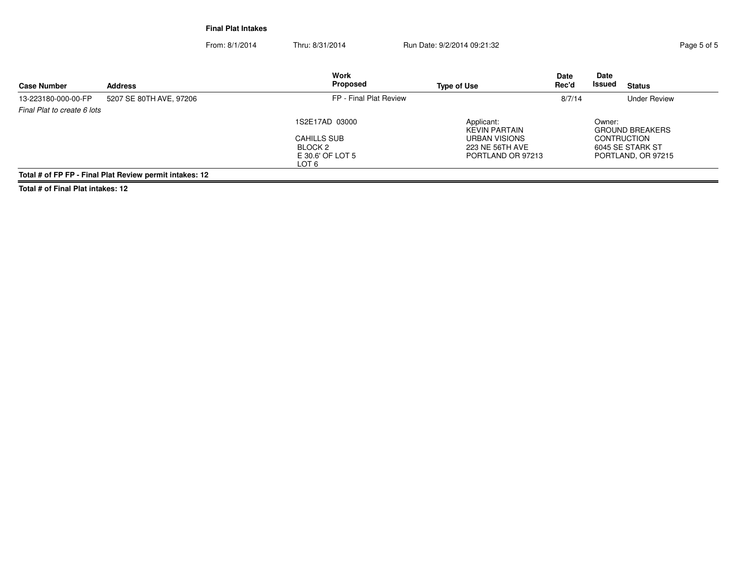**Final Plat Intakes**

From: 8/1/2014Thru: 8/31/2014 Run Date: 9/2/2014 09:21:32 Rage 5 of 5

| <b>Case Number</b>          | <b>Address</b>                                          | <b>Work</b><br>Proposed   | <b>Type of Use</b>                 | <b>Date</b><br>Rec'd | Date<br>Issued<br><b>Status</b>  |
|-----------------------------|---------------------------------------------------------|---------------------------|------------------------------------|----------------------|----------------------------------|
| 13-223180-000-00-FP         | 5207 SE 80TH AVE, 97206                                 | FP - Final Plat Review    |                                    | 8/7/14               | <b>Under Review</b>              |
| Final Plat to create 6 lots |                                                         |                           |                                    |                      |                                  |
|                             |                                                         | 1S2E17AD 03000            | Applicant:<br><b>KEVIN PARTAIN</b> |                      | Owner:<br><b>GROUND BREAKERS</b> |
|                             |                                                         | <b>CAHILLS SUB</b>        | URBAN VISIONS                      |                      | <b>CONTRUCTION</b>               |
|                             |                                                         | BLOCK 2                   | 223 NE 56TH AVE                    |                      | 6045 SE STARK ST                 |
|                             |                                                         | E 30.6' OF LOT 5<br>LOT 6 | PORTLAND OR 97213                  |                      | PORTLAND, OR 97215               |
|                             | Total # of ED ED - Einel Plat Poviow pormit intakes: 12 |                           |                                    |                      |                                  |

**Total # of FP FP - Final Plat Review permit intakes: 12**

**Total # of Final Plat intakes: 12**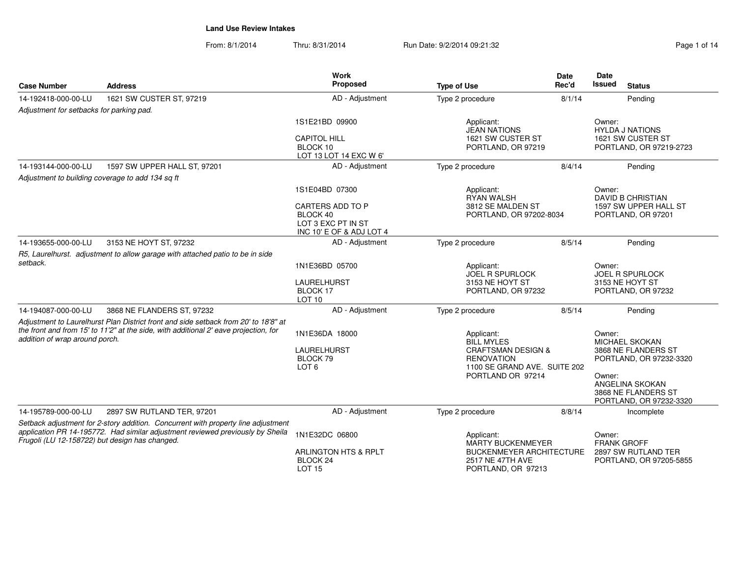From: 8/1/2014Thru: 8/31/2014 Run Date: 9/2/2014 09:21:32 Page 1 of 14

| <b>Case Number</b>                                                                                                                                                                                                    | <b>Address</b>                                                                                                                                                              | <b>Work</b><br>Proposed                                                        | <b>Type of Use</b>                                                                 | Date<br>Rec'd | Date<br><b>Issued</b><br><b>Status</b>                                      |  |
|-----------------------------------------------------------------------------------------------------------------------------------------------------------------------------------------------------------------------|-----------------------------------------------------------------------------------------------------------------------------------------------------------------------------|--------------------------------------------------------------------------------|------------------------------------------------------------------------------------|---------------|-----------------------------------------------------------------------------|--|
| 14-192418-000-00-LU                                                                                                                                                                                                   | 1621 SW CUSTER ST, 97219                                                                                                                                                    | AD - Adjustment                                                                | Type 2 procedure                                                                   | 8/1/14        | Pending                                                                     |  |
| Adjustment for setbacks for parking pad.                                                                                                                                                                              |                                                                                                                                                                             |                                                                                |                                                                                    |               |                                                                             |  |
|                                                                                                                                                                                                                       |                                                                                                                                                                             | 1S1E21BD 09900<br><b>CAPITOL HILL</b>                                          | Applicant:<br><b>JEAN NATIONS</b><br>1621 SW CUSTER ST                             |               | Owner:<br><b>HYLDA J NATIONS</b><br>1621 SW CUSTER ST                       |  |
|                                                                                                                                                                                                                       |                                                                                                                                                                             | BLOCK 10<br>LOT 13 LOT 14 EXC W 6'                                             | PORTLAND, OR 97219                                                                 |               | PORTLAND, OR 97219-2723                                                     |  |
| 14-193144-000-00-LU                                                                                                                                                                                                   | 1597 SW UPPER HALL ST, 97201                                                                                                                                                | AD - Adjustment                                                                | Type 2 procedure                                                                   | 8/4/14        | Pending                                                                     |  |
|                                                                                                                                                                                                                       | Adjustment to building coverage to add 134 sq ft                                                                                                                            |                                                                                |                                                                                    |               |                                                                             |  |
|                                                                                                                                                                                                                       |                                                                                                                                                                             | 1S1E04BD 07300                                                                 | Applicant:<br><b>RYAN WALSH</b>                                                    |               | Owner:<br><b>DAVID B CHRISTIAN</b>                                          |  |
|                                                                                                                                                                                                                       |                                                                                                                                                                             | CARTERS ADD TO P<br>BLOCK 40<br>LOT 3 EXC PT IN ST<br>INC 10' E OF & ADJ LOT 4 | 3812 SE MALDEN ST<br>PORTLAND, OR 97202-8034                                       |               | 1597 SW UPPER HALL ST<br>PORTLAND, OR 97201                                 |  |
| 14-193655-000-00-LU                                                                                                                                                                                                   | 3153 NE HOYT ST, 97232                                                                                                                                                      | AD - Adjustment                                                                | Type 2 procedure                                                                   | 8/5/14        | Pending                                                                     |  |
|                                                                                                                                                                                                                       | R5, Laurelhurst. adjustment to allow garage with attached patio to be in side                                                                                               |                                                                                |                                                                                    |               |                                                                             |  |
| setback.                                                                                                                                                                                                              |                                                                                                                                                                             | 1N1E36BD 05700                                                                 | Applicant:<br><b>JOEL R SPURLOCK</b>                                               |               | Owner:<br><b>JOEL R SPURLOCK</b>                                            |  |
|                                                                                                                                                                                                                       |                                                                                                                                                                             | LAURELHURST<br>BLOCK 17<br>LOT <sub>10</sub>                                   | 3153 NE HOYT ST<br>PORTLAND, OR 97232                                              |               | 3153 NE HOYT ST<br>PORTLAND, OR 97232                                       |  |
| 14-194087-000-00-LU                                                                                                                                                                                                   | 3868 NE FLANDERS ST, 97232                                                                                                                                                  | AD - Adjustment                                                                | Type 2 procedure                                                                   | 8/5/14        | Pending                                                                     |  |
| addition of wrap around porch.                                                                                                                                                                                        | Adjustment to Laurelhurst Plan District front and side setback from 20' to 18'8" at<br>the front and from 15' to 11'2" at the side, with additional 2' eave projection, for | 1N1E36DA 18000                                                                 | Applicant:<br><b>BILL MYLES</b>                                                    |               | Owner:<br>MICHAEL SKOKAN                                                    |  |
|                                                                                                                                                                                                                       |                                                                                                                                                                             | <b>LAURELHURST</b><br>BLOCK 79<br>LOT <sub>6</sub>                             | <b>CRAFTSMAN DESIGN &amp;</b><br><b>RENOVATION</b><br>1100 SE GRAND AVE. SUITE 202 |               | 3868 NE FLANDERS ST<br>PORTLAND, OR 97232-3320                              |  |
|                                                                                                                                                                                                                       |                                                                                                                                                                             |                                                                                | PORTLAND OR 97214                                                                  |               | Owner:<br>ANGELINA SKOKAN<br>3868 NE FLANDERS ST<br>PORTLAND, OR 97232-3320 |  |
| 14-195789-000-00-LU                                                                                                                                                                                                   | 2897 SW RUTLAND TER, 97201                                                                                                                                                  | AD - Adjustment                                                                | Type 2 procedure                                                                   | 8/8/14        | Incomplete                                                                  |  |
| Setback adjustment for 2-story addition. Concurrent with property line adjustment<br>application PR 14-195772. Had similar adjustment reviewed previously by Sheila<br>Frugoli (LU 12-158722) but design has changed. |                                                                                                                                                                             | 1N1E32DC 06800                                                                 | Applicant:<br>MARTY BUCKENMEYER                                                    |               | Owner:<br><b>FRANK GROFF</b>                                                |  |
|                                                                                                                                                                                                                       |                                                                                                                                                                             | ARLINGTON HTS & RPLT<br>BLOCK 24<br><b>LOT 15</b>                              | BUCKENMEYER ARCHITECTURE<br>2517 NE 47TH AVE<br>PORTLAND, OR 97213                 |               | 2897 SW RUTLAND TER<br>PORTLAND, OR 97205-5855                              |  |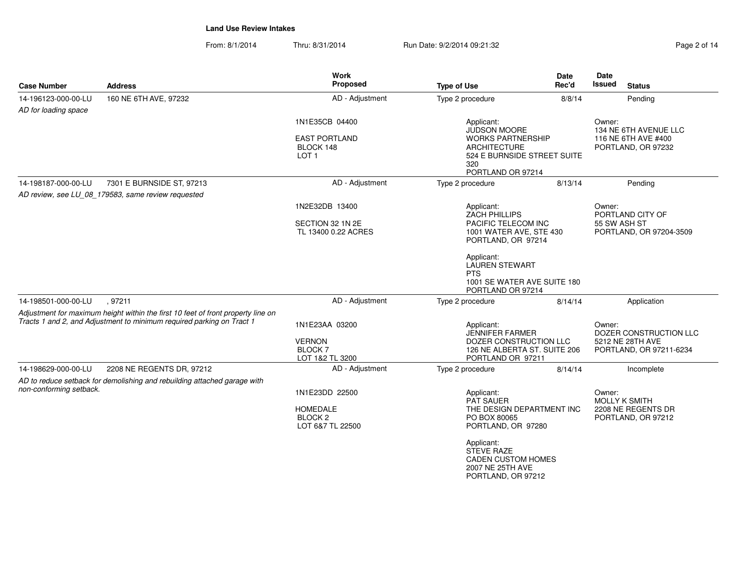From: 8/1/2014Thru: 8/31/2014 Run Date: 9/2/2014 09:21:32 Page 2 of 14

| <b>Case Number</b>                          | <b>Address</b>                                                                                                                                            | <b>Work</b><br>Proposed                                                     | <b>Type of Use</b>                                                                                                                                                                    | Date<br>Rec'd | Date<br>Issued<br><b>Status</b>                                                 |
|---------------------------------------------|-----------------------------------------------------------------------------------------------------------------------------------------------------------|-----------------------------------------------------------------------------|---------------------------------------------------------------------------------------------------------------------------------------------------------------------------------------|---------------|---------------------------------------------------------------------------------|
| 14-196123-000-00-LU<br>AD for loading space | 160 NE 6TH AVE, 97232                                                                                                                                     | AD - Adjustment                                                             | Type 2 procedure                                                                                                                                                                      | 8/8/14        | Pending                                                                         |
|                                             |                                                                                                                                                           | 1N1E35CB 04400<br><b>EAST PORTLAND</b><br>BLOCK 148<br>LOT <sub>1</sub>     | Applicant:<br><b>JUDSON MOORE</b><br><b>WORKS PARTNERSHIP</b><br><b>ARCHITECTURE</b><br>524 E BURNSIDE STREET SUITE<br>320<br>PORTLAND OR 97214                                       |               | Owner:<br>134 NE 6TH AVENUE LLC<br>116 NE 6TH AVE #400<br>PORTLAND, OR 97232    |
| 14-198187-000-00-LU                         | 7301 E BURNSIDE ST, 97213                                                                                                                                 | AD - Adjustment                                                             | Type 2 procedure                                                                                                                                                                      | 8/13/14       | Pending                                                                         |
|                                             | AD review, see LU_08_179583, same review requested                                                                                                        |                                                                             |                                                                                                                                                                                       |               |                                                                                 |
|                                             |                                                                                                                                                           | 1N2E32DB 13400<br>SECTION 32 1N 2E<br>TL 13400 0.22 ACRES                   | Applicant:<br><b>ZACH PHILLIPS</b><br>PACIFIC TELECOM INC<br>1001 WATER AVE, STE 430<br>PORTLAND, OR 97214<br>Applicant:<br><b>LAUREN STEWART</b>                                     |               | Owner:<br>PORTLAND CITY OF<br>55 SW ASH ST<br>PORTLAND, OR 97204-3509           |
|                                             |                                                                                                                                                           |                                                                             | <b>PTS</b><br>1001 SE WATER AVE SUITE 180<br>PORTLAND OR 97214                                                                                                                        |               |                                                                                 |
| 14-198501-000-00-LU                         | .97211                                                                                                                                                    | AD - Adjustment                                                             | Type 2 procedure                                                                                                                                                                      | 8/14/14       | Application                                                                     |
|                                             | Adjustment for maximum height within the first 10 feet of front property line on<br>Tracts 1 and 2, and Adjustment to minimum required parking on Tract 1 | 1N1E23AA 03200<br><b>VERNON</b><br><b>BLOCK7</b><br>LOT 1&2 TL 3200         | Applicant:<br>JENNIFER FARMER<br>DOZER CONSTRUCTION LLC<br>126 NE ALBERTA ST. SUITE 206<br>PORTLAND OR 97211                                                                          |               | Owner:<br>DOZER CONSTRUCTION LLC<br>5212 NE 28TH AVE<br>PORTLAND, OR 97211-6234 |
| 14-198629-000-00-LU                         | 2208 NE REGENTS DR, 97212                                                                                                                                 | AD - Adjustment                                                             | Type 2 procedure                                                                                                                                                                      | 8/14/14       | Incomplete                                                                      |
| non-conforming setback.                     | AD to reduce setback for demolishing and rebuilding attached garage with                                                                                  | 1N1E23DD 22500<br><b>HOMEDALE</b><br>BLOCK <sub>2</sub><br>LOT 6&7 TL 22500 | Applicant:<br><b>PAT SAUER</b><br>THE DESIGN DEPARTMENT INC<br>PO BOX 80065<br>PORTLAND, OR 97280<br>Applicant:<br><b>STEVE RAZE</b><br><b>CADEN CUSTOM HOMES</b><br>2007 NE 25TH AVE |               | Owner:<br><b>MOLLY K SMITH</b><br>2208 NE REGENTS DR<br>PORTLAND, OR 97212      |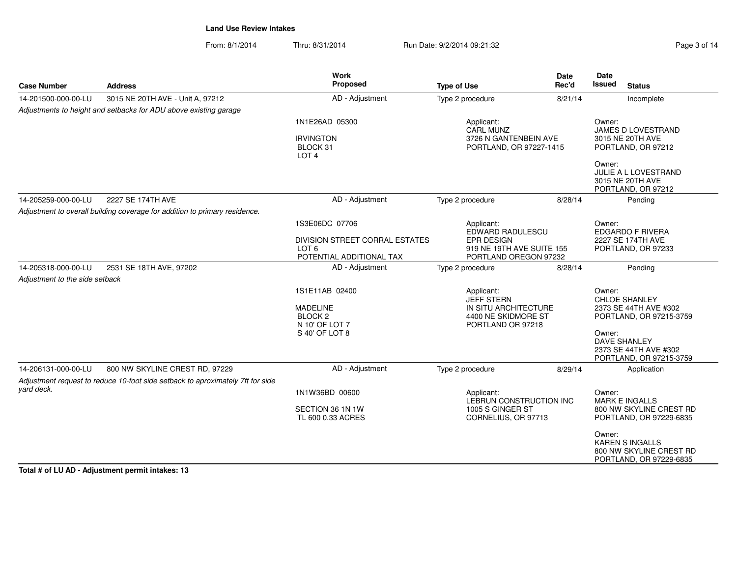From: 8/1/2014Thru: 8/31/2014 Run Date: 9/2/2014 09:21:32 Research 2012 Page 3 of 14

| <b>Case Number</b>                              | <b>Address</b>                                                                 | Work<br>Proposed                                                          | <b>Type of Use</b>                                                                                  | <b>Date</b><br>Rec'd | <b>Date</b><br>Issued<br><b>Status</b>                                                 |
|-------------------------------------------------|--------------------------------------------------------------------------------|---------------------------------------------------------------------------|-----------------------------------------------------------------------------------------------------|----------------------|----------------------------------------------------------------------------------------|
| 14-201500-000-00-LU                             | 3015 NE 20TH AVE - Unit A, 97212                                               | AD - Adjustment                                                           | Type 2 procedure                                                                                    | 8/21/14              | Incomplete                                                                             |
|                                                 | Adjustments to height and setbacks for ADU above existing garage               |                                                                           |                                                                                                     |                      |                                                                                        |
|                                                 |                                                                                | 1N1E26AD 05300<br><b>IRVINGTON</b><br>BLOCK 31<br>LOT <sub>4</sub>        | Applicant:<br>CARL MUNZ<br>3726 N GANTENBEIN AVE<br>PORTLAND, OR 97227-1415                         |                      | Owner:<br>JAMES D LOVESTRAND<br>3015 NE 20TH AVE<br>PORTLAND, OR 97212                 |
|                                                 |                                                                                |                                                                           |                                                                                                     |                      | Owner:<br>JULIE A L LOVESTRAND<br>3015 NE 20TH AVE<br>PORTLAND, OR 97212               |
| 14-205259-000-00-LU                             | 2227 SE 174TH AVE                                                              | AD - Adjustment                                                           | Type 2 procedure                                                                                    | 8/28/14              | Pending                                                                                |
|                                                 | Adjustment to overall building coverage for addition to primary residence.     |                                                                           |                                                                                                     |                      |                                                                                        |
|                                                 |                                                                                | 1S3E06DC 07706<br>DIVISION STREET CORRAL ESTATES                          | Applicant:<br><b>EPR DESIGN</b>                                                                     | EDWARD RADULESCU     |                                                                                        |
|                                                 |                                                                                | LOT <sub>6</sub><br>POTENTIAL ADDITIONAL TAX                              | 919 NE 19TH AVE SUITE 155<br>PORTLAND OREGON 97232                                                  |                      | 2227 SE 174TH AVE<br>PORTLAND, OR 97233                                                |
| 14-205318-000-00-LU                             | 2531 SE 18TH AVE, 97202                                                        | AD - Adjustment                                                           | Type 2 procedure                                                                                    | 8/28/14              | Pending                                                                                |
| Adjustment to the side setback                  |                                                                                |                                                                           |                                                                                                     |                      |                                                                                        |
|                                                 |                                                                                | 1S1E11AB 02400<br><b>MADELINE</b><br>BLOCK <sub>2</sub><br>N 10' OF LOT 7 | Applicant:<br><b>JEFF STERN</b><br>IN SITU ARCHITECTURE<br>4400 NE SKIDMORE ST<br>PORTLAND OR 97218 |                      | Owner:<br>CHLOE SHANLEY<br>2373 SE 44TH AVE #302<br>PORTLAND, OR 97215-3759            |
|                                                 |                                                                                | S 40' OF LOT 8                                                            |                                                                                                     |                      | Owner:<br><b>DAVE SHANLEY</b><br>2373 SE 44TH AVE #302<br>PORTLAND, OR 97215-3759      |
| 14-206131-000-00-LU                             | 800 NW SKYLINE CREST RD, 97229                                                 | AD - Adjustment                                                           | Type 2 procedure                                                                                    | 8/29/14              | Application                                                                            |
|                                                 | Adjustment request to reduce 10-foot side setback to aproximately 7ft for side |                                                                           |                                                                                                     |                      |                                                                                        |
| vard deck.                                      |                                                                                | 1N1W36BD 00600                                                            | Applicant:<br>LEBRUN CONSTRUCTION INC                                                               |                      | Owner:<br><b>MARK E INGALLS</b>                                                        |
|                                                 |                                                                                | SECTION 36 1N 1W<br>TL 600 0.33 ACRES                                     | 1005 S GINGER ST<br>CORNELIUS, OR 97713                                                             |                      | 800 NW SKYLINE CREST RD<br>PORTLAND, OR 97229-6835                                     |
| Total # of LU AD Adjustment normit into keep 12 |                                                                                |                                                                           |                                                                                                     |                      | Owner:<br><b>KAREN S INGALLS</b><br>800 NW SKYLINE CREST RD<br>PORTLAND, OR 97229-6835 |

**Total # of LU AD - Adjustment permit intakes: 13**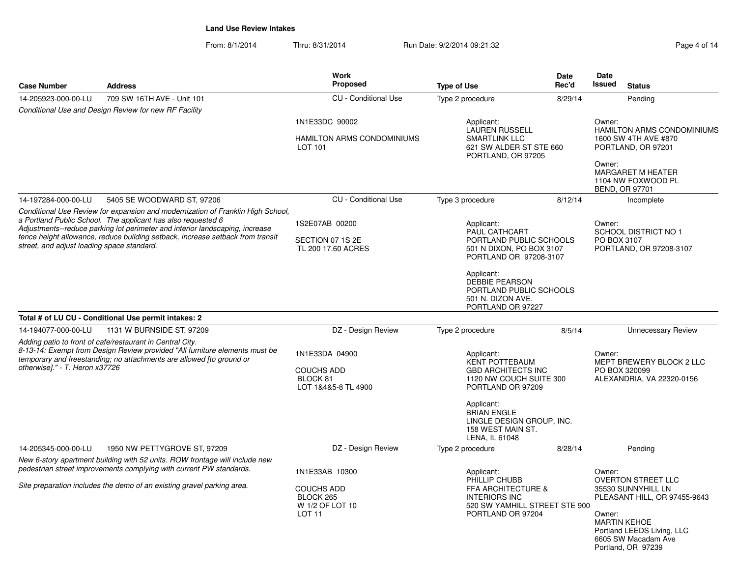From: 8/1/2014Thru: 8/31/2014 Run Date: 9/2/2014 09:21:32 Page 4 of 14

| <b>Case Number</b>                                                                                                                                                                                                                                                                                                                                              | <b>Address</b>                                                                                                                                     | <b>Work</b><br><b>Proposed</b>                                         | <b>Type of Use</b>                                                                                                | <b>Date</b><br>Rec'd                                                                                                                     | Date<br>Issued<br><b>Status</b>                                                                                                                                                             |  |
|-----------------------------------------------------------------------------------------------------------------------------------------------------------------------------------------------------------------------------------------------------------------------------------------------------------------------------------------------------------------|----------------------------------------------------------------------------------------------------------------------------------------------------|------------------------------------------------------------------------|-------------------------------------------------------------------------------------------------------------------|------------------------------------------------------------------------------------------------------------------------------------------|---------------------------------------------------------------------------------------------------------------------------------------------------------------------------------------------|--|
| 14-205923-000-00-LU                                                                                                                                                                                                                                                                                                                                             | 709 SW 16TH AVE - Unit 101                                                                                                                         | <b>CU</b> - Conditional Use                                            | Type 2 procedure                                                                                                  | 8/29/14                                                                                                                                  | Pending                                                                                                                                                                                     |  |
|                                                                                                                                                                                                                                                                                                                                                                 | Conditional Use and Design Review for new RF Facility                                                                                              |                                                                        |                                                                                                                   |                                                                                                                                          |                                                                                                                                                                                             |  |
|                                                                                                                                                                                                                                                                                                                                                                 |                                                                                                                                                    | 1N1E33DC 90002                                                         | Applicant:                                                                                                        |                                                                                                                                          | Owner:                                                                                                                                                                                      |  |
|                                                                                                                                                                                                                                                                                                                                                                 |                                                                                                                                                    | HAMILTON ARMS CONDOMINIUMS<br>LOT 101                                  | <b>LAUREN RUSSELL</b><br><b>SMARTLINK LLC</b><br>621 SW ALDER ST STE 660<br>PORTLAND, OR 97205                    |                                                                                                                                          | <b>HAMILTON ARMS CONDOMINIUMS</b><br>1600 SW 4TH AVE #870<br>PORTLAND, OR 97201                                                                                                             |  |
|                                                                                                                                                                                                                                                                                                                                                                 |                                                                                                                                                    |                                                                        |                                                                                                                   |                                                                                                                                          | Owner:<br><b>MARGARET M HEATER</b><br>1104 NW FOXWOOD PL<br>BEND, OR 97701                                                                                                                  |  |
| 14-197284-000-00-LU                                                                                                                                                                                                                                                                                                                                             | 5405 SE WOODWARD ST, 97206                                                                                                                         | <b>CU</b> - Conditional Use                                            | Type 3 procedure                                                                                                  | 8/12/14                                                                                                                                  | Incomplete                                                                                                                                                                                  |  |
| Conditional Use Review for expansion and modernization of Franklin High School,<br>a Portland Public School. The applicant has also requested 6<br>Adjustments--reduce parking lot perimeter and interior landscaping, increase<br>fence height allowance, reduce building setback, increase setback from transit<br>street, and adjust loading space standard. |                                                                                                                                                    | 1S2E07AB 00200<br>SECTION 07 1S 2E<br>TL 200 17.60 ACRES               | Applicant:<br>PAUL CATHCART<br>PORTLAND PUBLIC SCHOOLS<br>501 N DIXON, PO BOX 3107<br>PORTLAND OR 97208-3107      |                                                                                                                                          | Owner:<br><b>SCHOOL DISTRICT NO 1</b><br>PO BOX 3107<br>PORTLAND, OR 97208-3107                                                                                                             |  |
|                                                                                                                                                                                                                                                                                                                                                                 |                                                                                                                                                    |                                                                        | Applicant:<br><b>DEBBIE PEARSON</b><br>PORTLAND PUBLIC SCHOOLS<br>501 N. DIZON AVE.<br>PORTLAND OR 97227          |                                                                                                                                          |                                                                                                                                                                                             |  |
|                                                                                                                                                                                                                                                                                                                                                                 | Total # of LU CU - Conditional Use permit intakes: 2                                                                                               |                                                                        |                                                                                                                   |                                                                                                                                          |                                                                                                                                                                                             |  |
| 14-194077-000-00-LU                                                                                                                                                                                                                                                                                                                                             | 1131 W BURNSIDE ST, 97209                                                                                                                          | DZ - Design Review                                                     | Type 2 procedure                                                                                                  | 8/5/14                                                                                                                                   | <b>Unnecessary Review</b>                                                                                                                                                                   |  |
| Adding patio to front of cafe/restaurant in Central City.<br>8-13-14: Exempt from Design Review provided "All furniture elements must be<br>temporary and freestanding; no attachments are allowed [to ground or<br>otherwise]." - T. Heron x37726                                                                                                              |                                                                                                                                                    | 1N1E33DA 04900<br><b>COUCHS ADD</b><br>BLOCK 81<br>LOT 1&4&5-8 TL 4900 | Applicant:<br><b>KENT POTTEBAUM</b><br>PORTLAND OR 97209                                                          | Owner:<br>MEPT BREWERY BLOCK 2 LLC<br><b>GBD ARCHITECTS INC</b><br>PO BOX 320099<br>1120 NW COUCH SUITE 300<br>ALEXANDRIA, VA 22320-0156 |                                                                                                                                                                                             |  |
|                                                                                                                                                                                                                                                                                                                                                                 |                                                                                                                                                    |                                                                        | Applicant:<br><b>BRIAN ENGLE</b><br>LINGLE DESIGN GROUP, INC.<br>158 WEST MAIN ST.<br>LENA, IL 61048              |                                                                                                                                          |                                                                                                                                                                                             |  |
| 14-205345-000-00-LU                                                                                                                                                                                                                                                                                                                                             | 1950 NW PETTYGROVE ST, 97209                                                                                                                       | DZ - Design Review                                                     | Type 2 procedure                                                                                                  | 8/28/14                                                                                                                                  | Pending                                                                                                                                                                                     |  |
|                                                                                                                                                                                                                                                                                                                                                                 | New 6-story apartment building with 52 units. ROW frontage will include new<br>pedestrian street improvements complying with current PW standards. | 1N1E33AB 10300                                                         | Applicant:                                                                                                        |                                                                                                                                          | Owner:                                                                                                                                                                                      |  |
| Site preparation includes the demo of an existing gravel parking area.                                                                                                                                                                                                                                                                                          |                                                                                                                                                    | <b>COUCHS ADD</b><br>BLOCK 265<br>W 1/2 OF LOT 10<br><b>LOT 11</b>     | PHILLIP CHUBB<br>FFA ARCHITECTURE &<br><b>INTERIORS INC</b><br>520 SW YAMHILL STREET STE 900<br>PORTLAND OR 97204 |                                                                                                                                          | <b>OVERTON STREET LLC</b><br>35530 SUNNYHILL LN<br>PLEASANT HILL, OR 97455-9643<br>Owner:<br><b>MARTIN KEHOE</b><br>Portland LEEDS Living, LLC<br>6605 SW Macadam Ave<br>Portland, OR 97239 |  |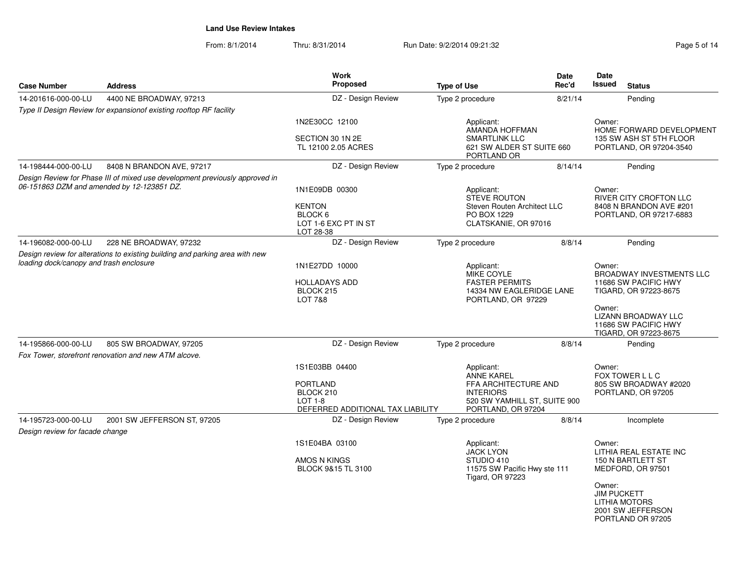From: 8/1/2014Thru: 8/31/2014 Run Date: 9/2/2014 09:21:32 Page 5 of 14

| <b>Case Number</b>                         | <b>Address</b>                                                               | <b>Work</b><br>Proposed                                                                          | <b>Type of Use</b>                                                                                                                | Date<br>Rec'd | Date<br><b>Issued</b><br><b>Status</b>                                                                                                                                              |
|--------------------------------------------|------------------------------------------------------------------------------|--------------------------------------------------------------------------------------------------|-----------------------------------------------------------------------------------------------------------------------------------|---------------|-------------------------------------------------------------------------------------------------------------------------------------------------------------------------------------|
| 14-201616-000-00-LU                        | 4400 NE BROADWAY, 97213                                                      | DZ - Design Review                                                                               | Type 2 procedure                                                                                                                  | 8/21/14       | Pending                                                                                                                                                                             |
|                                            | Type II Design Review for expansionof existing rooftop RF facility           |                                                                                                  |                                                                                                                                   |               |                                                                                                                                                                                     |
|                                            |                                                                              | 1N2E30CC 12100<br>SECTION 30 1N 2E<br>TL 12100 2.05 ACRES                                        | Applicant:<br>AMANDA HOFFMAN<br><b>SMARTLINK LLC</b><br>621 SW ALDER ST SUITE 660<br>PORTLAND OR                                  |               | Owner:<br>HOME FORWARD DEVELOPMENT<br>135 SW ASH ST 5TH FLOOR<br>PORTLAND, OR 97204-3540                                                                                            |
| 14-198444-000-00-LU                        | 8408 N BRANDON AVE, 97217                                                    | DZ - Design Review                                                                               | Type 2 procedure                                                                                                                  | 8/14/14       | Pending                                                                                                                                                                             |
| 06-151863 DZM and amended by 12-123851 DZ. | Design Review for Phase III of mixed use development previously approved in  | 1N1E09DB 00300<br><b>KENTON</b><br>BLOCK 6<br>LOT 1-6 EXC PT IN ST<br>LOT 28-38                  | Applicant:<br><b>STEVE ROUTON</b><br>Steven Routen Architect LLC<br>PO BOX 1229<br>CLATSKANIE, OR 97016                           |               | Owner:<br>RIVER CITY CROFTON LLC<br>8408 N BRANDON AVE #201<br>PORTLAND, OR 97217-6883                                                                                              |
| 14-196082-000-00-LU                        | 228 NE BROADWAY, 97232                                                       | DZ - Design Review                                                                               | Type 2 procedure                                                                                                                  | 8/8/14        | Pending                                                                                                                                                                             |
| loading dock/canopy and trash enclosure    | Design review for alterations to existing building and parking area with new | 1N1E27DD 10000<br><b>HOLLADAYS ADD</b><br>BLOCK 215<br><b>LOT 7&amp;8</b>                        | Applicant:<br>MIKE COYLE<br><b>FASTER PERMITS</b><br>14334 NW EAGLERIDGE LANE<br>PORTLAND, OR 97229                               |               | Owner:<br><b>BROADWAY INVESTMENTS LLC</b><br>11686 SW PACIFIC HWY<br>TIGARD, OR 97223-8675<br>Owner:<br><b>LIZANN BROADWAY LLC</b><br>11686 SW PACIFIC HWY<br>TIGARD, OR 97223-8675 |
| 14-195866-000-00-LU                        | 805 SW BROADWAY, 97205                                                       | DZ - Design Review                                                                               | Type 2 procedure                                                                                                                  | 8/8/14        | Pending                                                                                                                                                                             |
|                                            | Fox Tower, storefront renovation and new ATM alcove.                         |                                                                                                  |                                                                                                                                   |               |                                                                                                                                                                                     |
|                                            |                                                                              | 1S1E03BB 04400<br><b>PORTLAND</b><br>BLOCK 210<br>$LOT 1-8$<br>DEFERRED ADDITIONAL TAX LIABILITY | Applicant:<br><b>ANNE KAREL</b><br>FFA ARCHITECTURE AND<br><b>INTERIORS</b><br>520 SW YAMHILL ST, SUITE 900<br>PORTLAND, OR 97204 |               | Owner:<br>FOX TOWER L L C<br>805 SW BROADWAY #2020<br>PORTLAND, OR 97205                                                                                                            |
| 14-195723-000-00-LU                        | 2001 SW JEFFERSON ST, 97205                                                  | DZ - Design Review                                                                               | Type 2 procedure                                                                                                                  | 8/8/14        | Incomplete                                                                                                                                                                          |
| Design review for facade change            |                                                                              |                                                                                                  |                                                                                                                                   |               |                                                                                                                                                                                     |
|                                            |                                                                              | 1S1E04BA 03100<br>AMOS N KINGS<br>BLOCK 9&15 TL 3100                                             | Applicant:<br><b>JACK LYON</b><br>STUDIO 410<br>11575 SW Pacific Hwy ste 111<br><b>Tigard, OR 97223</b>                           |               | Owner:<br>LITHIA REAL ESTATE INC<br>150 N BARTLETT ST<br>MEDFORD, OR 97501<br>Owner:<br><b>JIM PUCKETT</b><br><b>LITHIA MOTORS</b><br>2001 SW JEFFERSON<br>PORTLAND OR 97205        |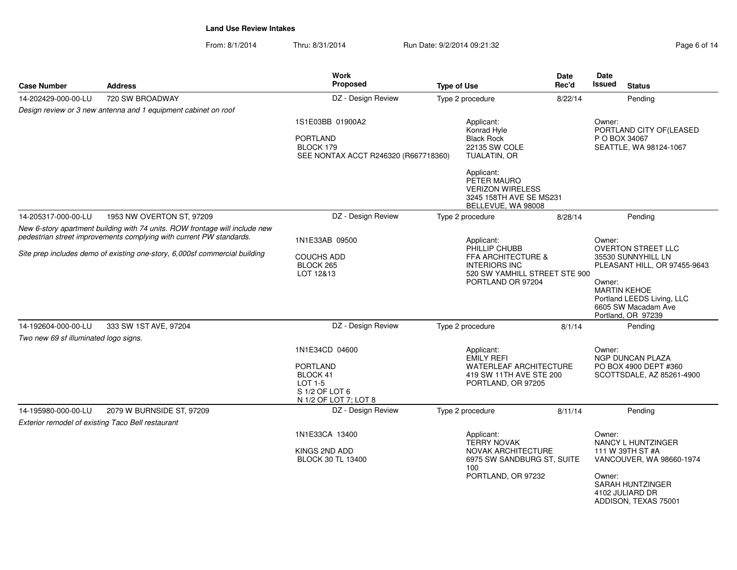From: 8/1/2014Thru: 8/31/2014 Run Date: 9/2/2014 09:21:32 Page 6 of 14

|                                                   |                                                                                                                                                    | Work                                                                                                       |                                                                                                                          | <b>Date</b>                                                                    | <b>Date</b>                                                                                                                                                                                           |                                                                                                                                          |  |                           |
|---------------------------------------------------|----------------------------------------------------------------------------------------------------------------------------------------------------|------------------------------------------------------------------------------------------------------------|--------------------------------------------------------------------------------------------------------------------------|--------------------------------------------------------------------------------|-------------------------------------------------------------------------------------------------------------------------------------------------------------------------------------------------------|------------------------------------------------------------------------------------------------------------------------------------------|--|---------------------------|
| <b>Case Number</b>                                | <b>Address</b>                                                                                                                                     | <b>Proposed</b>                                                                                            | <b>Type of Use</b>                                                                                                       | Rec'd                                                                          | Issued                                                                                                                                                                                                | <b>Status</b>                                                                                                                            |  |                           |
| 14-202429-000-00-LU                               | 720 SW BROADWAY                                                                                                                                    | DZ - Design Review                                                                                         | Type 2 procedure                                                                                                         | 8/22/14                                                                        |                                                                                                                                                                                                       | Pending                                                                                                                                  |  |                           |
|                                                   | Design review or 3 new antenna and 1 equipment cabinet on roof                                                                                     |                                                                                                            |                                                                                                                          |                                                                                |                                                                                                                                                                                                       |                                                                                                                                          |  |                           |
|                                                   |                                                                                                                                                    | 1S1E03BB 01900A2<br><b>PORTLAND</b><br>BLOCK 179<br>SEE NONTAX ACCT R246320 (R667718360)                   | Applicant:<br>Konrad Hyle<br><b>Black Rock</b><br>22135 SW COLE<br>TUALATIN, OR                                          |                                                                                | Owner:<br>P O BOX 34067                                                                                                                                                                               | PORTLAND CITY OF (LEASED<br>SEATTLE, WA 98124-1067                                                                                       |  |                           |
|                                                   |                                                                                                                                                    |                                                                                                            | Applicant:<br>PETER MAURO<br><b>VERIZON WIRELESS</b><br>3245 158TH AVE SE MS231<br>BELLEVUE, WA 98008                    |                                                                                |                                                                                                                                                                                                       |                                                                                                                                          |  |                           |
| 14-205317-000-00-LU                               | 1953 NW OVERTON ST, 97209                                                                                                                          | DZ - Design Review                                                                                         | Type 2 procedure                                                                                                         | 8/28/14                                                                        |                                                                                                                                                                                                       | Pending                                                                                                                                  |  |                           |
|                                                   | New 6-story apartment building with 74 units. ROW frontage will include new<br>pedestrian street improvements complying with current PW standards. | 1N1E33AB 09500                                                                                             | Applicant:<br>PHILLIP CHUBB                                                                                              |                                                                                | Owner:<br><b>OVERTON STREET LLC</b><br>35530 SUNNYHILL LN<br>PLEASANT HILL, OR 97455-9643<br>Owner:<br><b>MARTIN KEHOE</b><br>Portland LEEDS Living, LLC<br>6605 SW Macadam Ave<br>Portland, OR 97239 |                                                                                                                                          |  |                           |
|                                                   | Site prep includes demo of existing one-story, 6,000sf commercial building                                                                         | <b>COUCHS ADD</b><br>BLOCK 265<br>LOT 12&13                                                                | FFA ARCHITECTURE &<br><b>INTERIORS INC</b><br>520 SW YAMHILL STREET STE 900<br>PORTLAND OR 97204                         |                                                                                |                                                                                                                                                                                                       |                                                                                                                                          |  |                           |
| 14-192604-000-00-LU                               | 333 SW 1ST AVE, 97204                                                                                                                              | DZ - Design Review                                                                                         | Type 2 procedure                                                                                                         | 8/1/14                                                                         |                                                                                                                                                                                                       | Pending                                                                                                                                  |  |                           |
| Two new 69 sf illuminated logo signs.             |                                                                                                                                                    |                                                                                                            |                                                                                                                          |                                                                                |                                                                                                                                                                                                       |                                                                                                                                          |  |                           |
|                                                   |                                                                                                                                                    | 1N1E34CD 04600<br><b>PORTLAND</b><br>BLOCK 41<br><b>LOT 1-5</b><br>S 1/2 OF LOT 6<br>N 1/2 OF LOT 7; LOT 8 | Applicant:<br><b>EMILY REFI</b>                                                                                          | <b>WATERLEAF ARCHITECTURE</b><br>419 SW 11TH AVE STE 200<br>PORTLAND, OR 97205 |                                                                                                                                                                                                       | Owner:<br><b>NGP DUNCAN PLAZA</b><br>PO BOX 4900 DEPT #360                                                                               |  | SCOTTSDALE, AZ 85261-4900 |
| 14-195980-000-00-LU                               | 2079 W BURNSIDE ST, 97209                                                                                                                          | DZ - Design Review                                                                                         | Type 2 procedure                                                                                                         | 8/11/14                                                                        |                                                                                                                                                                                                       | Pending                                                                                                                                  |  |                           |
| Exterior remodel of existing Taco Bell restaurant |                                                                                                                                                    |                                                                                                            |                                                                                                                          |                                                                                |                                                                                                                                                                                                       |                                                                                                                                          |  |                           |
|                                                   |                                                                                                                                                    | 1N1E33CA 13400<br>KINGS 2ND ADD<br><b>BLOCK 30 TL 13400</b>                                                | Applicant:<br><b>TERRY NOVAK</b><br><b>NOVAK ARCHITECTURE</b><br>6975 SW SANDBURG ST, SUITE<br>100<br>PORTLAND, OR 97232 |                                                                                | Owner:<br>Owner:                                                                                                                                                                                      | NANCY L HUNTZINGER<br>111 W 39TH ST #A<br>VANCOUVER, WA 98660-1974<br><b>SARAH HUNTZINGER</b><br>4102 JULIARD DR<br>ADDISON, TEXAS 75001 |  |                           |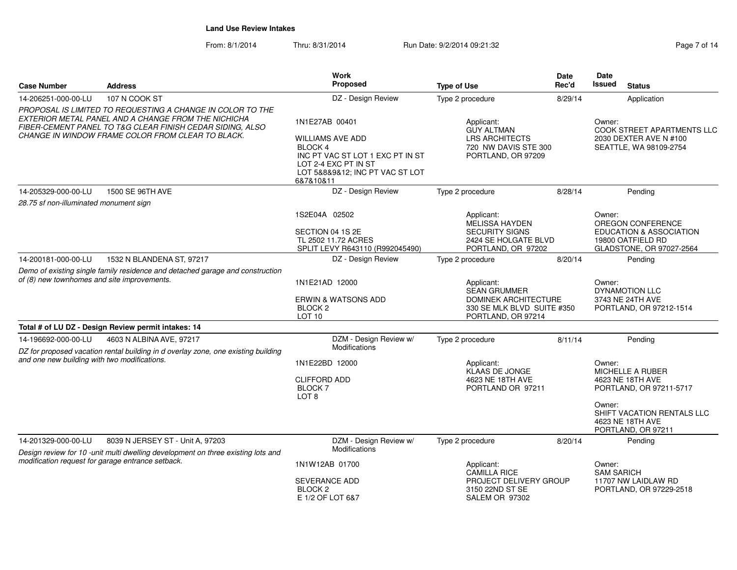From: 8/1/2014Thru: 8/31/2014 Run Date: 9/2/2014 09:21:32

|                                                                                                                                                                                                                                     | <b>Address</b>                                                                                                                                                                                                              | <b>Work</b>                                                                                                                                                            |                                                                                                                      | <b>Date</b>          |                                                                                          |                                                                                                                          |
|-------------------------------------------------------------------------------------------------------------------------------------------------------------------------------------------------------------------------------------|-----------------------------------------------------------------------------------------------------------------------------------------------------------------------------------------------------------------------------|------------------------------------------------------------------------------------------------------------------------------------------------------------------------|----------------------------------------------------------------------------------------------------------------------|----------------------|------------------------------------------------------------------------------------------|--------------------------------------------------------------------------------------------------------------------------|
| <b>Case Number</b>                                                                                                                                                                                                                  |                                                                                                                                                                                                                             | Proposed                                                                                                                                                               | <b>Type of Use</b>                                                                                                   | Rec'd                | Issued                                                                                   | <b>Status</b>                                                                                                            |
| 14-206251-000-00-LU                                                                                                                                                                                                                 | 107 N COOK ST                                                                                                                                                                                                               | DZ - Design Review                                                                                                                                                     | Type 2 procedure                                                                                                     | 8/29/14              |                                                                                          | Application                                                                                                              |
| PROPOSAL IS LIMITED TO REQUESTING A CHANGE IN COLOR TO THE<br>EXTERIOR METAL PANEL AND A CHANGE FROM THE NICHICHA<br>FIBER-CEMENT PANEL TO T&G CLEAR FINISH CEDAR SIDING, ALSO<br>CHANGE IN WINDOW FRAME COLOR FROM CLEAR TO BLACK. |                                                                                                                                                                                                                             | 1N1E27AB 00401<br><b>WILLIAMS AVE ADD</b><br><b>BLOCK4</b><br>INC PT VAC ST LOT 1 EXC PT IN ST<br>LOT 2-4 EXC PT IN ST<br>LOT 5&8&9&12; INC PT VAC ST LOT<br>6&7&10&11 | Applicant:<br><b>GUY ALTMAN</b><br><b>LRS ARCHITECTS</b><br>720 NW DAVIS STE 300<br>PORTLAND, OR 97209               |                      | Owner:<br>COOK STREET APARTMENTS LLC<br>2030 DEXTER AVE N #100<br>SEATTLE, WA 98109-2754 |                                                                                                                          |
| 14-205329-000-00-LU                                                                                                                                                                                                                 | 1500 SE 96TH AVE                                                                                                                                                                                                            | DZ - Design Review                                                                                                                                                     | Type 2 procedure                                                                                                     | 8/28/14              |                                                                                          | Pending                                                                                                                  |
| 28.75 sf non-illuminated monument sign                                                                                                                                                                                              |                                                                                                                                                                                                                             |                                                                                                                                                                        |                                                                                                                      |                      |                                                                                          |                                                                                                                          |
|                                                                                                                                                                                                                                     |                                                                                                                                                                                                                             | 1S2E04A 02502<br>SECTION 04 1S 2E<br>TL 2502 11.72 ACRES<br>SPLIT LEVY R643110 (R992045490)                                                                            | Applicant:<br>MELISSA HAYDEN<br><b>SECURITY SIGNS</b><br>PORTLAND, OR 97202                                          | 2424 SE HOLGATE BLVD |                                                                                          | OREGON CONFERENCE<br>EDUCATION & ASSOCIATION<br>19800 OATFIELD RD<br>GLADSTONE, OR 97027-2564                            |
| 14-200181-000-00-LU                                                                                                                                                                                                                 | 1532 N BLANDENA ST, 97217                                                                                                                                                                                                   | DZ - Design Review                                                                                                                                                     | Type 2 procedure                                                                                                     | 8/20/14              |                                                                                          | Pending                                                                                                                  |
|                                                                                                                                                                                                                                     | Demo of existing single family residence and detached garage and construction<br>of (8) new townhomes and site improvements.<br>1N1E21AD 12000<br><b>ERWIN &amp; WATSONS ADD</b><br>BLOCK <sub>2</sub><br>LOT <sub>10</sub> |                                                                                                                                                                        | Applicant:<br><b>SEAN GRUMMER</b><br><b>DOMINEK ARCHITECTURE</b><br>330 SE MLK BLVD SUITE #350<br>PORTLAND, OR 97214 |                      | Owner:                                                                                   | <b>DYNAMOTION LLC</b><br>3743 NE 24TH AVE<br>PORTLAND, OR 97212-1514                                                     |
|                                                                                                                                                                                                                                     | Total # of LU DZ - Design Review permit intakes: 14                                                                                                                                                                         |                                                                                                                                                                        |                                                                                                                      |                      |                                                                                          |                                                                                                                          |
| 14-196692-000-00-LU                                                                                                                                                                                                                 | 4603 N ALBINA AVE, 97217                                                                                                                                                                                                    | DZM - Design Review w/                                                                                                                                                 | Type 2 procedure                                                                                                     | 8/11/14              |                                                                                          | Pending                                                                                                                  |
| and one new building with two modifications.                                                                                                                                                                                        | DZ for proposed vacation rental building in d overlay zone, one existing building                                                                                                                                           | Modifications                                                                                                                                                          |                                                                                                                      |                      |                                                                                          |                                                                                                                          |
|                                                                                                                                                                                                                                     |                                                                                                                                                                                                                             | 1N1E22BD 12000<br><b>CLIFFORD ADD</b><br><b>BLOCK 7</b><br>LOT <sub>8</sub>                                                                                            | Applicant:<br>KLAAS DE JONGE<br>4623 NE 18TH AVE<br>PORTLAND OR 97211                                                |                      | Owner:<br>Owner:                                                                         | <b>MICHELLE A RUBER</b><br>4623 NE 18TH AVE<br>PORTLAND, OR 97211-5717<br>SHIFT VACATION RENTALS LLC<br>4623 NE 18TH AVE |
| 14-201329-000-00-LU                                                                                                                                                                                                                 | 8039 N JERSEY ST - Unit A, 97203                                                                                                                                                                                            | DZM - Design Review w/                                                                                                                                                 | Type 2 procedure                                                                                                     | 8/20/14              |                                                                                          | PORTLAND, OR 97211                                                                                                       |
|                                                                                                                                                                                                                                     | Design review for 10 -unit multi dwelling development on three existing lots and                                                                                                                                            | Modifications                                                                                                                                                          |                                                                                                                      |                      |                                                                                          | Pending                                                                                                                  |
| modification request for garage entrance setback.                                                                                                                                                                                   |                                                                                                                                                                                                                             | 1N1W12AB 01700                                                                                                                                                         | Applicant:<br><b>CAMILLA RICE</b>                                                                                    |                      | Owner:<br><b>SAM SARICH</b>                                                              |                                                                                                                          |
|                                                                                                                                                                                                                                     |                                                                                                                                                                                                                             | <b>SEVERANCE ADD</b><br>BLOCK <sub>2</sub><br>E 1/2 OF LOT 6&7                                                                                                         | PROJECT DELIVERY GROUP<br>3150 22ND ST SE<br>SALEM OR 97302                                                          |                      |                                                                                          | 11707 NW LAIDLAW RD<br>PORTLAND, OR 97229-2518                                                                           |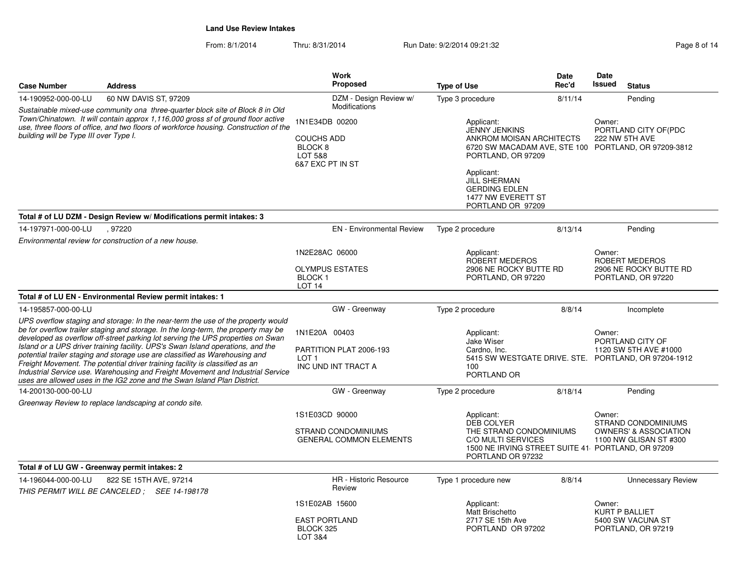From: 8/1/2014Thru: 8/31/2014 Run Date: 9/2/2014 09:21:32 Page 8 of 14

| <b>Case Number</b>                                                                                                                                                                                                                                                                                    | <b>Address</b>                                                                                                                                                                                                                                                                                                                                                                                                                                                                                                                                                                                                                                                             | <b>Work</b><br><b>Proposed</b>                                                                 | <b>Type of Use</b>                                                                                                                                                                                                                                   | Date<br>Rec'd                                        | Date<br>Issued<br><b>Status</b>                                                             |  |
|-------------------------------------------------------------------------------------------------------------------------------------------------------------------------------------------------------------------------------------------------------------------------------------------------------|----------------------------------------------------------------------------------------------------------------------------------------------------------------------------------------------------------------------------------------------------------------------------------------------------------------------------------------------------------------------------------------------------------------------------------------------------------------------------------------------------------------------------------------------------------------------------------------------------------------------------------------------------------------------------|------------------------------------------------------------------------------------------------|------------------------------------------------------------------------------------------------------------------------------------------------------------------------------------------------------------------------------------------------------|------------------------------------------------------|---------------------------------------------------------------------------------------------|--|
| 14-190952-000-00-LU                                                                                                                                                                                                                                                                                   | 60 NW DAVIS ST, 97209                                                                                                                                                                                                                                                                                                                                                                                                                                                                                                                                                                                                                                                      | DZM - Design Review w/                                                                         | Type 3 procedure                                                                                                                                                                                                                                     | 8/11/14                                              | Pending                                                                                     |  |
| Sustainable mixed-use community ona three-quarter block site of Block 8 in Old<br>Town/Chinatown. It will contain approx 1,116,000 gross sf of ground floor active<br>use, three floors of office, and two floors of workforce housing. Construction of the<br>building will be Type III over Type I. |                                                                                                                                                                                                                                                                                                                                                                                                                                                                                                                                                                                                                                                                            | Modifications<br>1N1E34DB 00200<br><b>COUCHS ADD</b><br>BLOCK 8<br>LOT 5&8<br>6&7 EXC PT IN ST | Applicant:<br><b>JENNY JENKINS</b><br>ANKROM MOISAN ARCHITECTS<br>6720 SW MACADAM AVE, STE 100 PORTLAND, OR 97209-3812<br>PORTLAND, OR 97209<br>Applicant:<br><b>JILL SHERMAN</b><br><b>GERDING EDLEN</b><br>1477 NW EVERETT ST<br>PORTLAND OR 97209 |                                                      | Owner:<br>PORTLAND CITY OF(PDC<br>222 NW 5TH AVE                                            |  |
|                                                                                                                                                                                                                                                                                                       | Total # of LU DZM - Design Review w/ Modifications permit intakes: 3                                                                                                                                                                                                                                                                                                                                                                                                                                                                                                                                                                                                       |                                                                                                |                                                                                                                                                                                                                                                      |                                                      |                                                                                             |  |
| 14-197971-000-00-LU                                                                                                                                                                                                                                                                                   | .97220                                                                                                                                                                                                                                                                                                                                                                                                                                                                                                                                                                                                                                                                     | <b>EN</b> - Environmental Review                                                               | Type 2 procedure                                                                                                                                                                                                                                     | 8/13/14                                              | Pending                                                                                     |  |
|                                                                                                                                                                                                                                                                                                       | Environmental review for construction of a new house.                                                                                                                                                                                                                                                                                                                                                                                                                                                                                                                                                                                                                      |                                                                                                |                                                                                                                                                                                                                                                      |                                                      |                                                                                             |  |
|                                                                                                                                                                                                                                                                                                       |                                                                                                                                                                                                                                                                                                                                                                                                                                                                                                                                                                                                                                                                            | 1N2E28AC 06000<br><b>OLYMPUS ESTATES</b><br>BLOCK <sub>1</sub><br>LOT <sub>14</sub>            | Applicant:<br>ROBERT MEDEROS<br>2906 NE ROCKY BUTTE RD<br>PORTLAND, OR 97220                                                                                                                                                                         |                                                      | Owner:<br>ROBERT MEDEROS<br>2906 NE ROCKY BUTTE RD<br>PORTLAND, OR 97220                    |  |
|                                                                                                                                                                                                                                                                                                       | Total # of LU EN - Environmental Review permit intakes: 1                                                                                                                                                                                                                                                                                                                                                                                                                                                                                                                                                                                                                  |                                                                                                |                                                                                                                                                                                                                                                      |                                                      |                                                                                             |  |
| 14-195857-000-00-LU                                                                                                                                                                                                                                                                                   |                                                                                                                                                                                                                                                                                                                                                                                                                                                                                                                                                                                                                                                                            | GW - Greenway                                                                                  | Type 2 procedure                                                                                                                                                                                                                                     | 8/8/14                                               | Incomplete                                                                                  |  |
|                                                                                                                                                                                                                                                                                                       | UPS overflow staging and storage: In the near-term the use of the property would<br>be for overflow trailer staging and storage. In the long-term, the property may be<br>developed as overflow off-street parking lot serving the UPS properties on Swan<br>Island or a UPS driver training facility. UPS's Swan Island operations, and the<br>potential trailer staging and storage use are classified as Warehousing and<br>Freight Movement. The potential driver training facility is classified as an<br>Industrial Service use. Warehousing and Freight Movement and Industrial Service<br>uses are allowed uses in the IG2 zone and the Swan Island Plan District. | 1N1E20A 00403<br>PARTITION PLAT 2006-193<br>LOT <sub>1</sub><br>INC UND INT TRACT A            | Applicant:<br>Jake Wiser<br>Cardno, Inc.<br>100<br>PORTLAND OR                                                                                                                                                                                       | 5415 SW WESTGATE DRIVE. STE. PORTLAND, OR 97204-1912 |                                                                                             |  |
| 14-200130-000-00-LU                                                                                                                                                                                                                                                                                   |                                                                                                                                                                                                                                                                                                                                                                                                                                                                                                                                                                                                                                                                            | GW - Greenway                                                                                  | Type 2 procedure                                                                                                                                                                                                                                     | 8/18/14                                              | Pending                                                                                     |  |
|                                                                                                                                                                                                                                                                                                       | Greenway Review to replace landscaping at condo site.                                                                                                                                                                                                                                                                                                                                                                                                                                                                                                                                                                                                                      |                                                                                                |                                                                                                                                                                                                                                                      |                                                      |                                                                                             |  |
|                                                                                                                                                                                                                                                                                                       |                                                                                                                                                                                                                                                                                                                                                                                                                                                                                                                                                                                                                                                                            | 1S1E03CD 90000<br>STRAND CONDOMINIUMS<br><b>GENERAL COMMON ELEMENTS</b>                        | Applicant:<br>DEB COLYER<br>THE STRAND CONDOMINIUMS<br>C/O MULTI SERVICES<br>1500 NE IRVING STREET SUITE 41 PORTLAND, OR 97209<br>PORTLAND OR 97232                                                                                                  |                                                      | Owner:<br>STRAND CONDOMINIUMS<br><b>OWNERS' &amp; ASSOCIATION</b><br>1100 NW GLISAN ST #300 |  |
|                                                                                                                                                                                                                                                                                                       | Total # of LU GW - Greenway permit intakes: 2                                                                                                                                                                                                                                                                                                                                                                                                                                                                                                                                                                                                                              |                                                                                                |                                                                                                                                                                                                                                                      |                                                      |                                                                                             |  |
| 14-196044-000-00-LU                                                                                                                                                                                                                                                                                   | 822 SE 15TH AVE, 97214                                                                                                                                                                                                                                                                                                                                                                                                                                                                                                                                                                                                                                                     | <b>HR</b> - Historic Resource<br>Review                                                        | Type 1 procedure new                                                                                                                                                                                                                                 | 8/8/14                                               | <b>Unnecessary Review</b>                                                                   |  |
| THIS PERMIT WILL BE CANCELED; SEE 14-198178                                                                                                                                                                                                                                                           |                                                                                                                                                                                                                                                                                                                                                                                                                                                                                                                                                                                                                                                                            | 1S1E02AB 15600<br><b>EAST PORTLAND</b><br>BLOCK 325<br>LOT 3&4                                 | Applicant:<br>Matt Brischetto<br>2717 SE 15th Ave<br>PORTLAND OR 97202                                                                                                                                                                               |                                                      | Owner:<br>KURT P BALLIET<br>5400 SW VACUNA ST<br>PORTLAND, OR 97219                         |  |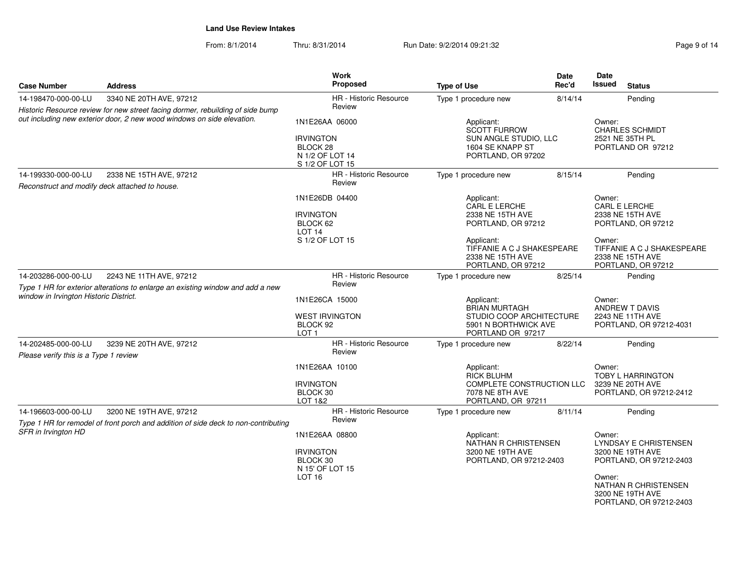From: 8/1/2014Thru: 8/31/2014 Run Date: 9/2/2014 09:21:32 Page 9 of 14

| <b>Case Number</b>                                                                                                                                       | <b>Address</b>                                                                                                | Work<br>Proposed                                                        | <b>Type of Use</b>                                                                                    | <b>Date</b><br>Rec'd                                       | Date<br><b>Issued</b>                                                          | <b>Status</b>                                                        |
|----------------------------------------------------------------------------------------------------------------------------------------------------------|---------------------------------------------------------------------------------------------------------------|-------------------------------------------------------------------------|-------------------------------------------------------------------------------------------------------|------------------------------------------------------------|--------------------------------------------------------------------------------|----------------------------------------------------------------------|
| 14-198470-000-00-LU                                                                                                                                      | 3340 NE 20TH AVE, 97212                                                                                       | HR - Historic Resource                                                  | Type 1 procedure new                                                                                  | 8/14/14                                                    |                                                                                | Pending                                                              |
| Historic Resource review for new street facing dormer, rebuilding of side bump<br>out including new exterior door, 2 new wood windows on side elevation. |                                                                                                               | Review<br>1N1E26AA 06000<br><b>IRVINGTON</b>                            | Applicant:<br><b>SCOTT FURROW</b><br>SUN ANGLE STUDIO, LLC                                            | Owner:<br><b>CHARLES SCHMIDT</b><br>2521 NE 35TH PL        |                                                                                |                                                                      |
|                                                                                                                                                          |                                                                                                               | BLOCK <sub>28</sub><br>N 1/2 OF LOT 14<br>S 1/2 OF LOT 15               | 1604 SE KNAPP ST<br>PORTLAND, OR 97202                                                                |                                                            | PORTLAND OR 97212                                                              |                                                                      |
| 14-199330-000-00-LU<br>Reconstruct and modify deck attached to house.                                                                                    | 2338 NE 15TH AVE, 97212                                                                                       | <b>HR</b> - Historic Resource<br>Review                                 | Type 1 procedure new                                                                                  | 8/15/14                                                    |                                                                                | Pending                                                              |
|                                                                                                                                                          |                                                                                                               | 1N1E26DB 04400                                                          | Applicant:<br>CARL E LERCHE                                                                           | Owner:<br>CARL E LERCHE                                    |                                                                                |                                                                      |
|                                                                                                                                                          |                                                                                                               | <b>IRVINGTON</b><br>BLOCK 62<br>LOT <sub>14</sub>                       | 2338 NE 15TH AVE<br>PORTLAND, OR 97212                                                                |                                                            | 2338 NE 15TH AVE<br>PORTLAND, OR 97212                                         |                                                                      |
|                                                                                                                                                          |                                                                                                               | S 1/2 OF LOT 15                                                         | Applicant:<br>TIFFANIE A C J SHAKESPEARE<br>2338 NE 15TH AVE<br>PORTLAND, OR 97212                    |                                                            | Owner:<br>TIFFANIE A C J SHAKESPEARE<br>2338 NE 15TH AVE<br>PORTLAND, OR 97212 |                                                                      |
| 2243 NE 11TH AVE, 97212<br>14-203286-000-00-LU<br>Type 1 HR for exterior alterations to enlarge an existing window and add a new                         |                                                                                                               | HR - Historic Resource<br>Review                                        | Type 1 procedure new                                                                                  | 8/25/14                                                    | Pending                                                                        |                                                                      |
| window in Irvington Historic District.                                                                                                                   |                                                                                                               | 1N1E26CA 15000<br><b>WEST IRVINGTON</b><br>BLOCK 92<br>LOT <sub>1</sub> | Applicant:<br><b>BRIAN MURTAGH</b><br>PORTLAND OR 97217                                               | Owner:<br>STUDIO COOP ARCHITECTURE<br>5901 N BORTHWICK AVE |                                                                                | <b>ANDREW T DAVIS</b><br>2243 NE 11TH AVE<br>PORTLAND, OR 97212-4031 |
| 14-202485-000-00-LU<br>Please verify this is a Type 1 review                                                                                             | 3239 NE 20TH AVE, 97212                                                                                       | HR - Historic Resource<br>Review                                        | Type 1 procedure new                                                                                  | 8/22/14                                                    |                                                                                | Pending                                                              |
|                                                                                                                                                          | 1N1E26AA 10100<br><b>IRVINGTON</b><br>BLOCK 30<br>LOT 1&2                                                     |                                                                         | Applicant:<br><b>RICK BLUHM</b><br>COMPLETE CONSTRUCTION LLC<br>7078 NE 8TH AVE<br>PORTLAND, OR 97211 |                                                            | Owner:                                                                         | TOBY L HARRINGTON<br>3239 NE 20TH AVE<br>PORTLAND, OR 97212-2412     |
| 14-196603-000-00-LU                                                                                                                                      | 3200 NE 19TH AVE, 97212<br>Type 1 HR for remodel of front porch and addition of side deck to non-contributing | <b>HR</b> - Historic Resource<br>Review                                 | Type 1 procedure new                                                                                  | 8/11/14                                                    |                                                                                | Pending                                                              |
| SFR in Irvington HD                                                                                                                                      |                                                                                                               | 1N1E26AA 08800<br><b>IRVINGTON</b><br>BLOCK 30<br>N 15' OF LOT 15       | Applicant:<br>NATHAN R CHRISTENSEN<br>3200 NE 19TH AVE<br>PORTLAND, OR 97212-2403                     |                                                            | Owner:<br>LYNDSAY E CHRISTENSEN<br>3200 NE 19TH AVE<br>PORTLAND, OR 97212-2403 |                                                                      |
|                                                                                                                                                          |                                                                                                               | <b>LOT 16</b>                                                           |                                                                                                       |                                                            |                                                                                | NATHAN R CHRISTENSEN<br>3200 NE 19TH AVE<br>PORTLAND, OR 97212-2403  |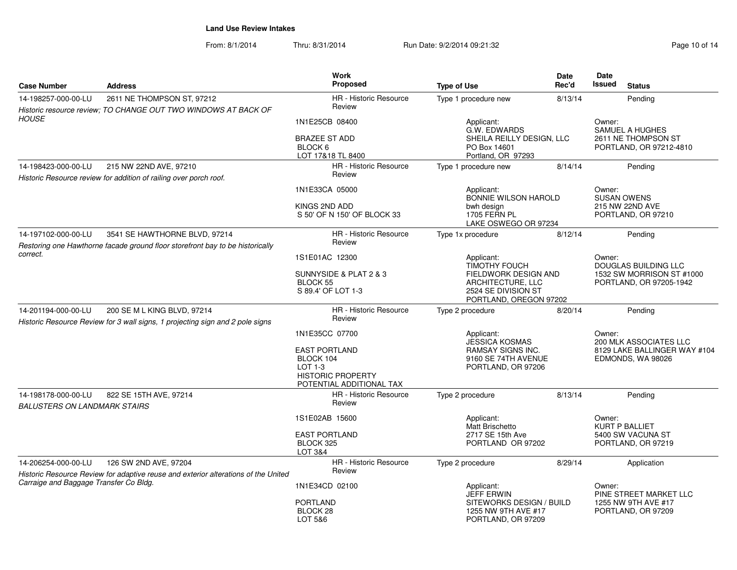From: 8/1/2014Thru: 8/31/2014 Run Date: 9/2/2014 09:21:32 Research 2010 of 14

| <b>Case Number</b>                                         | <b>Address</b>                                                                                                 | Work<br>Proposed                                                                                     | <b>Type of Use</b>                                                                         | Date<br>Rec'd                                        | Date<br><b>Issued</b><br><b>Status</b>            |  |
|------------------------------------------------------------|----------------------------------------------------------------------------------------------------------------|------------------------------------------------------------------------------------------------------|--------------------------------------------------------------------------------------------|------------------------------------------------------|---------------------------------------------------|--|
| 14-198257-000-00-LU                                        | 2611 NE THOMPSON ST, 97212                                                                                     | <b>HR</b> - Historic Resource                                                                        | Type 1 procedure new                                                                       | 8/13/14                                              | Pending                                           |  |
|                                                            | Historic resource review; TO CHANGE OUT TWO WINDOWS AT BACK OF                                                 | Review                                                                                               |                                                                                            |                                                      |                                                   |  |
| <b>HOUSE</b>                                               |                                                                                                                | 1N1E25CB 08400                                                                                       | Applicant:<br>G.W. EDWARDS                                                                 |                                                      | Owner:<br>SAMUEL A HUGHES                         |  |
|                                                            |                                                                                                                | <b>BRAZEE ST ADD</b><br>BLOCK <sub>6</sub><br>LOT 17&18 TL 8400                                      | SHEILA REILLY DESIGN, LLC<br>PO Box 14601<br>Portland, OR 97293                            |                                                      | 2611 NE THOMPSON ST<br>PORTLAND, OR 97212-4810    |  |
| 14-198423-000-00-LU                                        | 215 NW 22ND AVE, 97210                                                                                         | <b>HR</b> - Historic Resource                                                                        | Type 1 procedure new                                                                       | 8/14/14                                              | Pending                                           |  |
|                                                            | Historic Resource review for addition of railing over porch roof.                                              | Review                                                                                               |                                                                                            |                                                      |                                                   |  |
|                                                            |                                                                                                                | 1N1E33CA 05000                                                                                       | Applicant:<br>BONNIE WILSON HAROLD                                                         |                                                      | Owner:<br><b>SUSAN OWENS</b>                      |  |
|                                                            |                                                                                                                | KINGS 2ND ADD<br>S 50' OF N 150' OF BLOCK 33                                                         | bwh design<br>1705 FERN PL<br>LAKE OSWEGO OR 97234                                         |                                                      | 215 NW 22ND AVE<br>PORTLAND, OR 97210             |  |
| 14-197102-000-00-LU                                        | 3541 SE HAWTHORNE BLVD, 97214<br>Restoring one Hawthorne facade ground floor storefront bay to be historically | <b>HR</b> - Historic Resource<br>Review                                                              | Type 1x procedure                                                                          | 8/12/14                                              | Pending                                           |  |
| correct.                                                   |                                                                                                                | 1S1E01AC 12300                                                                                       | Applicant:<br><b>TIMOTHY FOUCH</b>                                                         |                                                      | Owner:<br>DOUGLAS BUILDING LLC                    |  |
| <b>BLOCK 55</b>                                            |                                                                                                                | SUNNYSIDE & PLAT 2 & 3<br>S 89.4' OF LOT 1-3                                                         | FIELDWORK DESIGN AND<br>ARCHITECTURE, LLC<br>2524 SE DIVISION ST<br>PORTLAND, OREGON 97202 | 1532 SW MORRISON ST #1000<br>PORTLAND, OR 97205-1942 |                                                   |  |
| 14-201194-000-00-LU                                        | 200 SE M L KING BLVD, 97214                                                                                    | <b>HR</b> - Historic Resource                                                                        | Type 2 procedure                                                                           | 8/20/14                                              | Pending                                           |  |
|                                                            | Historic Resource Review for 3 wall signs, 1 projecting sign and 2 pole signs                                  | Review                                                                                               |                                                                                            |                                                      |                                                   |  |
|                                                            |                                                                                                                | 1N1E35CC 07700                                                                                       | Applicant:<br><b>JESSICA KOSMAS</b>                                                        |                                                      | Owner:<br>200 MLK ASSOCIATES LLC                  |  |
|                                                            |                                                                                                                | <b>EAST PORTLAND</b><br>BLOCK 104<br>LOT 1-3<br><b>HISTORIC PROPERTY</b><br>POTENTIAL ADDITIONAL TAX | <b>RAMSAY SIGNS INC.</b><br>9160 SE 74TH AVENUE<br>PORTLAND, OR 97206                      |                                                      | 8129 LAKE BALLINGER WAY #104<br>EDMONDS, WA 98026 |  |
| 14-198178-000-00-LU<br><b>BALUSTERS ON LANDMARK STAIRS</b> | 822 SE 15TH AVE, 97214                                                                                         | HR - Historic Resource<br>Review                                                                     | Type 2 procedure                                                                           | 8/13/14                                              | Pending                                           |  |
|                                                            |                                                                                                                | 1S1E02AB 15600                                                                                       | Applicant:<br>Matt Brischetto                                                              |                                                      | Owner:<br><b>KURT P BALLIET</b>                   |  |
|                                                            |                                                                                                                | <b>EAST PORTLAND</b><br>BLOCK 325<br>LOT 3&4                                                         | 2717 SE 15th Ave<br>PORTLAND OR 97202                                                      |                                                      | 5400 SW VACUNA ST<br>PORTLAND, OR 97219           |  |
| 14-206254-000-00-LU                                        | 126 SW 2ND AVE, 97204<br>Historic Resource Review for adaptive reuse and exterior alterations of the United    | HR - Historic Resource<br>Review                                                                     | Type 2 procedure                                                                           | 8/29/14                                              | Application                                       |  |
| Carraige and Baggage Transfer Co Bldg.                     |                                                                                                                | 1N1E34CD 02100                                                                                       | Applicant:<br>JEFF ERWIN                                                                   |                                                      | Owner:<br>PINE STREET MARKET LLC                  |  |
|                                                            |                                                                                                                | <b>PORTLAND</b><br>BLOCK 28<br>LOT 5&6                                                               | SITEWORKS DESIGN / BUILD<br>1255 NW 9TH AVE #17<br>PORTLAND, OR 97209                      |                                                      | 1255 NW 9TH AVE #17<br>PORTLAND, OR 97209         |  |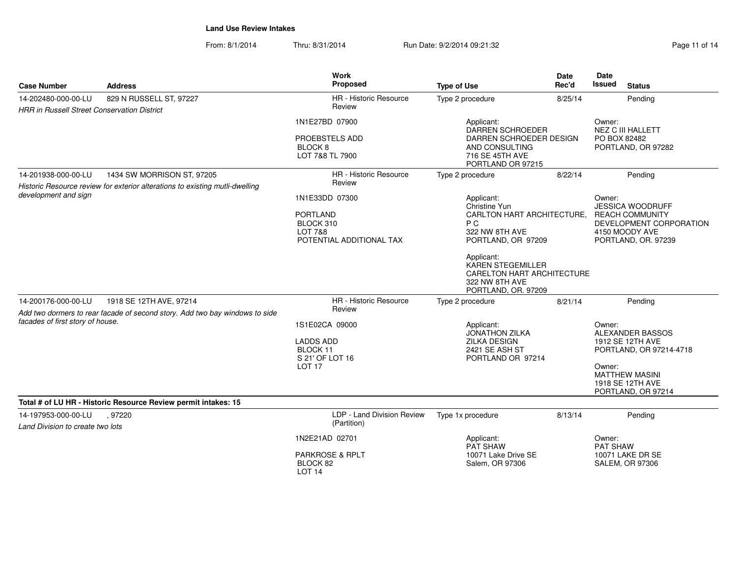From: 8/1/2014Thru: 8/31/2014 Run Date: 9/2/2014 09:21:32 Research 2012 Page 11 of 14

| <b>Case Number</b>                                                        | <b>Address</b>                                                                                         | <b>Work</b><br>Proposed                                                       | <b>Type of Use</b>                                                                                                                                    | <b>Date</b><br>Rec'd                                                                   | Date<br>Issued<br><b>Status</b>                                                                                                                        |
|---------------------------------------------------------------------------|--------------------------------------------------------------------------------------------------------|-------------------------------------------------------------------------------|-------------------------------------------------------------------------------------------------------------------------------------------------------|----------------------------------------------------------------------------------------|--------------------------------------------------------------------------------------------------------------------------------------------------------|
| 14-202480-000-00-LU<br><b>HRR in Russell Street Conservation District</b> | 829 N RUSSELL ST, 97227                                                                                | HR - Historic Resource<br>Review                                              | Type 2 procedure                                                                                                                                      | 8/25/14                                                                                | Pending                                                                                                                                                |
|                                                                           |                                                                                                        | 1N1E27BD 07900<br>PROEBSTELS ADD<br>BLOCK <sub>8</sub><br>LOT 7&8 TL 7900     | Applicant:<br>DARREN SCHROEDER<br>DARREN SCHROEDER DESIGN<br>AND CONSULTING<br>716 SE 45TH AVE<br>PORTLAND OR 97215                                   |                                                                                        | Owner:<br><b>NEZ C III HALLETT</b><br>PO BOX 82482<br>PORTLAND, OR 97282                                                                               |
| 14-201938-000-00-LU                                                       | 1434 SW MORRISON ST, 97205                                                                             | HR - Historic Resource                                                        | Type 2 procedure                                                                                                                                      | 8/22/14                                                                                | Pending                                                                                                                                                |
| development and sign                                                      | Historic Resource review for exterior alterations to existing mutli-dwelling                           | Review<br>1N1E33DD 07300<br><b>PORTLAND</b><br>BLOCK 310                      | Applicant:<br>Christine Yun<br>CARLTON HART ARCHITECTURE.<br>P C                                                                                      | Owner:<br><b>JESSICA WOODRUFF</b><br><b>REACH COMMUNITY</b><br>DEVELOPMENT CORPORATION |                                                                                                                                                        |
|                                                                           |                                                                                                        | <b>LOT 7&amp;8</b><br>POTENTIAL ADDITIONAL TAX                                | 322 NW 8TH AVE<br>PORTLAND, OR 97209<br>Applicant:<br><b>KAREN STEGEMILLER</b><br>CARELTON HART ARCHITECTURE<br>322 NW 8TH AVE<br>PORTLAND, OR. 97209 |                                                                                        | 4150 MOODY AVE<br>PORTLAND, OR. 97239                                                                                                                  |
| 14-200176-000-00-LU                                                       | 1918 SE 12TH AVE, 97214<br>Add two dormers to rear facade of second story. Add two bay windows to side | HR - Historic Resource<br>Review                                              | Type 2 procedure                                                                                                                                      | 8/21/14                                                                                | Pending                                                                                                                                                |
| facades of first story of house.                                          |                                                                                                        | 1S1E02CA 09000<br><b>LADDS ADD</b><br>BLOCK 11<br>S 21' OF LOT 16<br>LOT 17   | Applicant:<br><b>JONATHON ZILKA</b><br><b>ZILKA DESIGN</b><br>2421 SE ASH ST<br>PORTLAND OR 97214                                                     |                                                                                        | Owner:<br>ALEXANDER BASSOS<br>1912 SE 12TH AVE<br>PORTLAND, OR 97214-4718<br>Owner:<br><b>MATTHEW MASINI</b><br>1918 SE 12TH AVE<br>PORTLAND, OR 97214 |
|                                                                           | Total # of LU HR - Historic Resource Review permit intakes: 15                                         |                                                                               |                                                                                                                                                       |                                                                                        |                                                                                                                                                        |
| 14-197953-000-00-LU<br>Land Division to create two lots                   | . 97220                                                                                                | LDP - Land Division Review<br>(Partition)                                     | Type 1x procedure                                                                                                                                     | 8/13/14                                                                                | Pending                                                                                                                                                |
|                                                                           |                                                                                                        | 1N2E21AD 02701<br><b>PARKROSE &amp; RPLT</b><br>BLOCK 82<br>LOT <sub>14</sub> | Applicant:<br>PAT SHAW<br>10071 Lake Drive SE<br>Salem, OR 97306                                                                                      |                                                                                        | Owner:<br><b>PAT SHAW</b><br><b>10071 LAKE DR SE</b><br><b>SALEM, OR 97306</b>                                                                         |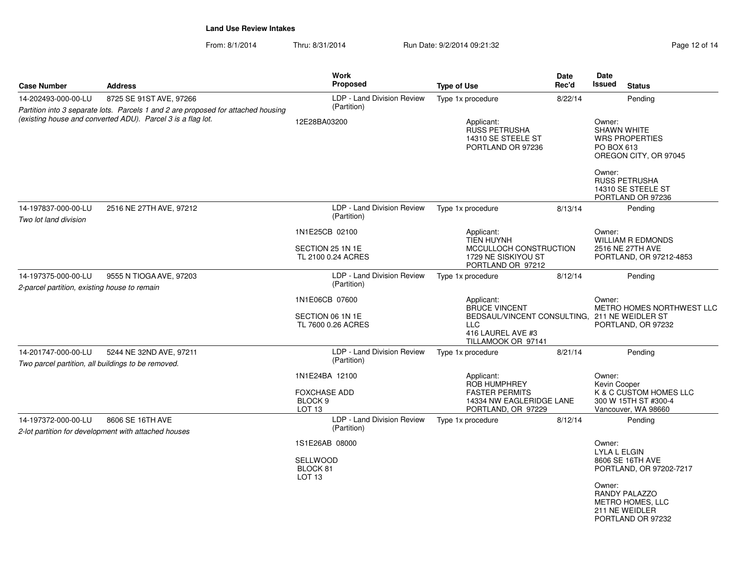From: 8/1/2014Thru: 8/31/2014 Run Date: 9/2/2014 09:21:32 Research 2007 2014

| <b>Case Number</b>                                                                                                                               | <b>Address</b>                                                           | Work<br>Proposed                                                                 | <b>Type of Use</b>                                                                                                                           | Date<br>Rec'd                                                                     | Date<br><b>Issued</b><br><b>Status</b>                                                                                                                                    |  |  |
|--------------------------------------------------------------------------------------------------------------------------------------------------|--------------------------------------------------------------------------|----------------------------------------------------------------------------------|----------------------------------------------------------------------------------------------------------------------------------------------|-----------------------------------------------------------------------------------|---------------------------------------------------------------------------------------------------------------------------------------------------------------------------|--|--|
| 14-202493-000-00-LU                                                                                                                              | 8725 SE 91ST AVE, 97266                                                  | LDP - Land Division Review                                                       | Type 1x procedure                                                                                                                            | 8/22/14<br>Pending                                                                |                                                                                                                                                                           |  |  |
| Partition into 3 separate lots. Parcels 1 and 2 are proposed for attached housing<br>(existing house and converted ADU). Parcel 3 is a flag lot. |                                                                          | (Partition)<br>12E28BA03200                                                      | Applicant:<br><b>RUSS PETRUSHA</b><br>14310 SE STEELE ST<br>PORTLAND OR 97236                                                                |                                                                                   | Owner:<br><b>SHAWN WHITE</b><br><b>WRS PROPERTIES</b><br>PO BOX 613<br>OREGON CITY, OR 97045<br>Owner:<br><b>RUSS PETRUSHA</b><br>14310 SE STEELE ST<br>PORTLAND OR 97236 |  |  |
| 14-197837-000-00-LU<br>2516 NE 27TH AVE, 97212<br>Two lot land division                                                                          |                                                                          | LDP - Land Division Review<br>(Partition)                                        | Type 1x procedure                                                                                                                            | 8/13/14                                                                           | Pending                                                                                                                                                                   |  |  |
|                                                                                                                                                  |                                                                          | 1N1E25CB 02100<br>SECTION 25 1N 1E<br>TL 2100 0.24 ACRES                         | Applicant:<br><b>TIEN HUYNH</b><br>MCCULLOCH CONSTRUCTION<br>1729 NE SISKIYOU ST<br>PORTLAND OR 97212                                        | Owner:<br><b>WILLIAM R EDMONDS</b><br>2516 NE 27TH AVE<br>PORTLAND, OR 97212-4853 |                                                                                                                                                                           |  |  |
| 14-197375-000-00-LU<br>2-parcel partition, existing house to remain                                                                              | 9555 N TIOGA AVE, 97203                                                  | LDP - Land Division Review<br>(Partition)                                        | Type 1x procedure                                                                                                                            | 8/12/14                                                                           | Pending                                                                                                                                                                   |  |  |
|                                                                                                                                                  |                                                                          | 1N1E06CB 07600<br>SECTION 06 1N 1E<br>TL 7600 0.26 ACRES                         | Applicant:<br><b>BRUCE VINCENT</b><br>BEDSAUL/VINCENT CONSULTING, 211 NE WEIDLER ST<br><b>LLC</b><br>416 LAUREL AVE #3<br>TILLAMOOK OR 97141 |                                                                                   | Owner:<br><b>METRO HOMES NORTHWEST LLC</b><br>PORTLAND, OR 97232                                                                                                          |  |  |
| 14-201747-000-00-LU<br>5244 NE 32ND AVE, 97211<br>Two parcel partition, all buildings to be removed.                                             |                                                                          | LDP - Land Division Review<br>(Partition)                                        | Type 1x procedure                                                                                                                            | 8/21/14                                                                           | Pending                                                                                                                                                                   |  |  |
|                                                                                                                                                  |                                                                          | 1N1E24BA 12100<br><b>FOXCHASE ADD</b><br>BLOCK <sub>9</sub><br>LOT <sub>13</sub> | Applicant:<br><b>ROB HUMPHREY</b><br><b>FASTER PERMITS</b><br>14334 NW EAGLERIDGE LANE<br>PORTLAND, OR 97229                                 |                                                                                   | Owner:<br>Kevin Cooper<br>K & C CUSTOM HOMES LLC<br>300 W 15TH ST #300-4<br>Vancouver, WA 98660                                                                           |  |  |
| 14-197372-000-00-LU                                                                                                                              | 8606 SE 16TH AVE<br>2-lot partition for development with attached houses | LDP - Land Division Review<br>(Partition)                                        | Type 1x procedure                                                                                                                            | 8/12/14                                                                           | Pending                                                                                                                                                                   |  |  |
|                                                                                                                                                  |                                                                          | 1S1E26AB 08000<br><b>SELLWOOD</b><br>BLOCK 81<br>LOT <sub>13</sub>               |                                                                                                                                              |                                                                                   | Owner:<br><b>LYLA L ELGIN</b><br>8606 SE 16TH AVE<br>PORTLAND, OR 97202-7217<br>Owner:<br><b>RANDY PALAZZO</b><br>METRO HOMES, LLC<br>211 NE WEIDLER<br>PORTLAND OR 97232 |  |  |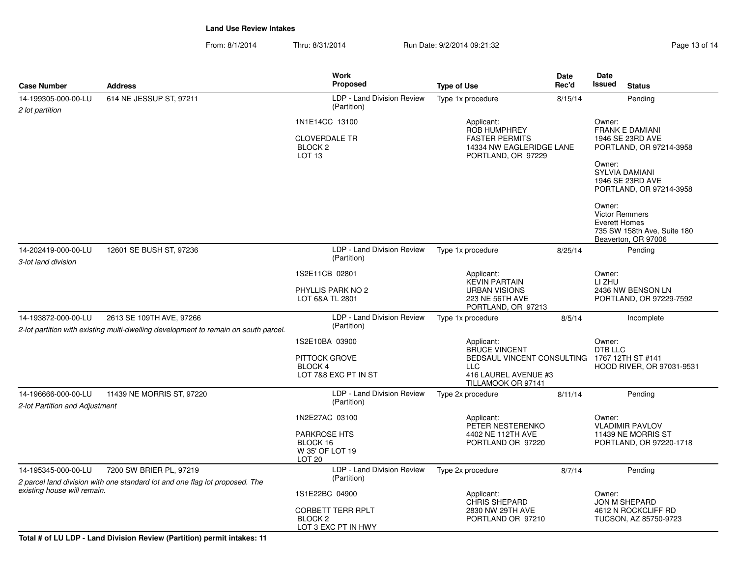From: 8/1/2014Thru: 8/31/2014 Run Date: 9/2/2014 09:21:32 Page 13 of 14

|                                                                                                                                        |                                                                             | <b>Work</b>                                                                               |                                                                                                                       | Date                                   | Date                                                                                                                                                                 |                                              |
|----------------------------------------------------------------------------------------------------------------------------------------|-----------------------------------------------------------------------------|-------------------------------------------------------------------------------------------|-----------------------------------------------------------------------------------------------------------------------|----------------------------------------|----------------------------------------------------------------------------------------------------------------------------------------------------------------------|----------------------------------------------|
| <b>Case Number</b>                                                                                                                     | <b>Address</b>                                                              | Proposed                                                                                  | <b>Type of Use</b>                                                                                                    | Rec'd                                  | Issued<br><b>Status</b>                                                                                                                                              |                                              |
| 14-199305-000-00-LU<br>2 lot partition                                                                                                 | 614 NE JESSUP ST, 97211                                                     | LDP - Land Division Review<br>(Partition)                                                 | Type 1x procedure                                                                                                     | 8/15/14                                | Pending                                                                                                                                                              |                                              |
|                                                                                                                                        |                                                                             | 1N1E14CC 13100<br><b>CLOVERDALE TR</b><br>BLOCK <sub>2</sub><br>LOT <sub>13</sub>         | Applicant:<br><b>ROB HUMPHREY</b><br><b>FASTER PERMITS</b><br>14334 NW EAGLERIDGE LANE<br>PORTLAND, OR 97229          |                                        | Owner:<br><b>FRANK E DAMIANI</b><br>1946 SE 23RD AVE<br>PORTLAND, OR 97214-3958<br>Owner:<br>SYLVIA DAMIANI<br>1946 SE 23RD AVE<br>PORTLAND, OR 97214-3958<br>Owner: |                                              |
|                                                                                                                                        |                                                                             |                                                                                           |                                                                                                                       |                                        | <b>Victor Remmers</b><br>Everett Homes<br>735 SW 158th Ave, Suite 180<br>Beaverton, OR 97006                                                                         |                                              |
| 14-202419-000-00-LU<br>3-lot land division                                                                                             | 12601 SE BUSH ST, 97236                                                     | LDP - Land Division Review<br>(Partition)                                                 | Type 1x procedure<br>8/25/14                                                                                          |                                        | Pending                                                                                                                                                              |                                              |
|                                                                                                                                        |                                                                             | 1S2E11CB 02801                                                                            | Applicant:<br><b>KEVIN PARTAIN</b>                                                                                    |                                        | Owner:<br>LI ZHU                                                                                                                                                     |                                              |
|                                                                                                                                        |                                                                             | PHYLLIS PARK NO 2<br>LOT 6&A TL 2801                                                      | <b>URBAN VISIONS</b><br>223 NE 56TH AVE<br>PORTLAND, OR 97213                                                         |                                        | 2436 NW BENSON LN<br>PORTLAND, OR 97229-7592                                                                                                                         |                                              |
| 14-193872-000-00-LU<br>2613 SE 109TH AVE, 97266<br>2-lot partition with existing multi-dwelling development to remain on south parcel. |                                                                             | LDP - Land Division Review<br>(Partition)                                                 | Type 1x procedure                                                                                                     |                                        | Incomplete                                                                                                                                                           |                                              |
|                                                                                                                                        |                                                                             | 1S2E10BA 03900<br>PITTOCK GROVE<br>BLOCK 4<br>LOT 7&8 EXC PT IN ST                        | Applicant:<br>BRUCE VINCENT<br>BEDSAUL VINCENT CONSULTING<br><b>LLC</b><br>416 LAUREL AVENUE #3<br>TILLAMOOK OR 97141 | Owner:<br>DTB LLC<br>1767 12TH ST #141 | HOOD RIVER, OR 97031-9531                                                                                                                                            |                                              |
| 14-196666-000-00-LU<br>2-lot Partition and Adjustment                                                                                  | 11439 NE MORRIS ST, 97220                                                   | LDP - Land Division Review<br>(Partition)                                                 | Type 2x procedure                                                                                                     | 8/11/14                                | Pending                                                                                                                                                              |                                              |
|                                                                                                                                        |                                                                             | 1N2E27AC 03100<br><b>PARKROSE HTS</b><br>BLOCK 16<br>W 35' OF LOT 19<br>LOT <sub>20</sub> | Applicant:<br>PETER NESTERENKO<br>4402 NE 112TH AVE<br>PORTLAND OR 97220                                              |                                        |                                                                                                                                                                      | <b>VLADIMIR PAVLOV</b><br>11439 NE MORRIS ST |
| 14-195345-000-00-LU                                                                                                                    | 7200 SW BRIER PL, 97219                                                     | LDP - Land Division Review                                                                | Type 2x procedure                                                                                                     | 8/7/14                                 | Pending                                                                                                                                                              |                                              |
| existing house will remain.                                                                                                            |                                                                             | 1S1E22BC 04900<br><b>CORBETT TERR RPLT</b><br>BLOCK <sub>2</sub>                          | Applicant:<br><b>CHRIS SHEPARD</b><br>2830 NW 29TH AVE<br>PORTLAND OR 97210                                           |                                        | Owner:<br><b>JON M SHEPARD</b><br>4612 N ROCKCLIFF RD<br>TUCSON, AZ 85750-9723                                                                                       |                                              |
|                                                                                                                                        | 2 parcel land division with one standard lot and one flag lot proposed. The | (Partition)<br>LOT 3 EXC PT IN HWY                                                        |                                                                                                                       |                                        | PORTLAND, OR 97220-1718                                                                                                                                              |                                              |

**Total # of LU LDP - Land Division Review (Partition) permit intakes: 11**